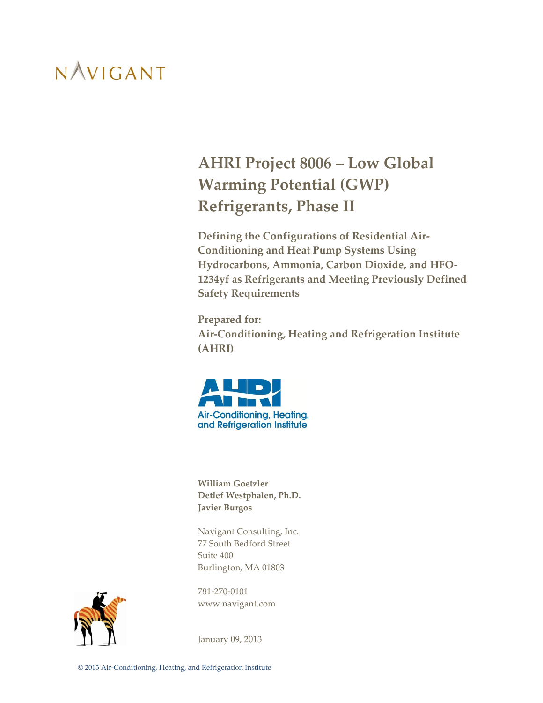### **AHRI Project 8006 – Low Global Warming Potential (GWP) Refrigerants, Phase II**

**Defining the Configurations of Residential Air-Conditioning and Heat Pump Systems Using Hydrocarbons, Ammonia, Carbon Dioxide, and HFO-1234yf as Refrigerants and Meeting Previously Defined Safety Requirements** 

**Prepared for: Air-Conditioning, Heating and Refrigeration Institute (AHRI)**



**William Goetzler Detlef Westphalen, Ph.D. Javier Burgos**

Navigant Consulting, Inc. 77 South Bedford Street Suite 400 Burlington, MA 01803

781-270-0101 www.navigant.com



January 09, 2013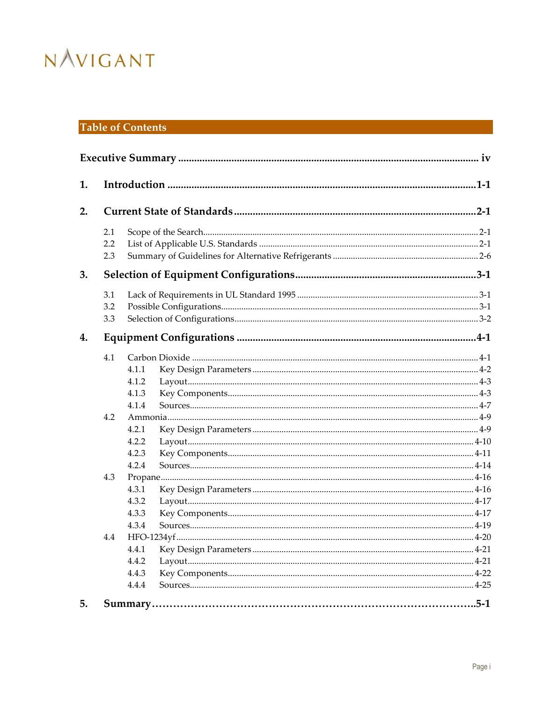### **Table of Contents**

| 1. |     |       |  |  |
|----|-----|-------|--|--|
| 2. |     |       |  |  |
|    | 2.1 |       |  |  |
|    | 2.2 |       |  |  |
|    | 2.3 |       |  |  |
| 3. |     |       |  |  |
|    | 3.1 |       |  |  |
|    | 3.2 |       |  |  |
|    | 3.3 |       |  |  |
| 4. |     |       |  |  |
|    | 4.1 |       |  |  |
|    |     | 4.1.1 |  |  |
|    |     | 4.1.2 |  |  |
|    |     | 4.1.3 |  |  |
|    |     | 4.1.4 |  |  |
|    | 4.2 |       |  |  |
|    |     | 4.2.1 |  |  |
|    |     | 4.2.2 |  |  |
|    |     | 4.2.3 |  |  |
|    |     | 4.2.4 |  |  |
|    | 4.3 |       |  |  |
|    |     | 4.3.1 |  |  |
|    |     | 4.3.2 |  |  |
|    |     | 4.3.3 |  |  |
|    |     | 4.3.4 |  |  |
|    | 4.4 |       |  |  |
|    |     | 4.4.1 |  |  |
|    |     | 4.4.2 |  |  |
|    |     | 4.4.3 |  |  |
|    |     | 4.4.4 |  |  |
| 5. |     |       |  |  |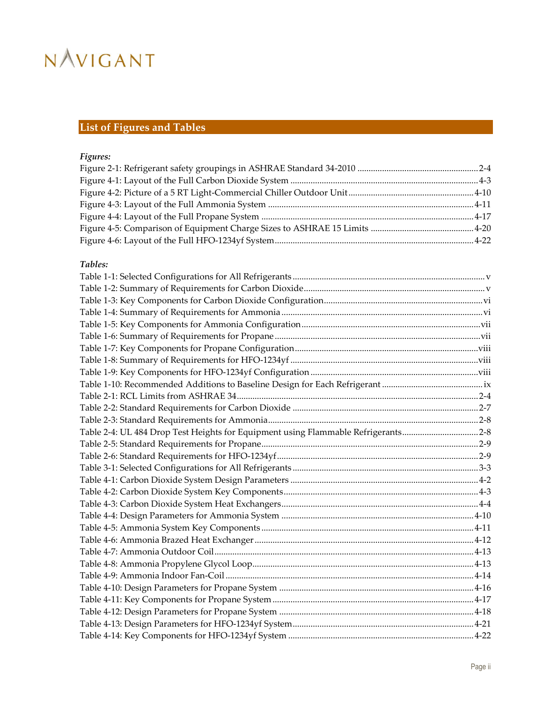### **List of Figures and Tables**

### *Figures:*

### *Tables:*

| Table 2-4: UL 484 Drop Test Heights for Equipment using Flammable Refrigerants2-8 |  |
|-----------------------------------------------------------------------------------|--|
|                                                                                   |  |
|                                                                                   |  |
|                                                                                   |  |
|                                                                                   |  |
|                                                                                   |  |
|                                                                                   |  |
|                                                                                   |  |
|                                                                                   |  |
|                                                                                   |  |
|                                                                                   |  |
|                                                                                   |  |
|                                                                                   |  |
|                                                                                   |  |
|                                                                                   |  |
|                                                                                   |  |
|                                                                                   |  |
|                                                                                   |  |
|                                                                                   |  |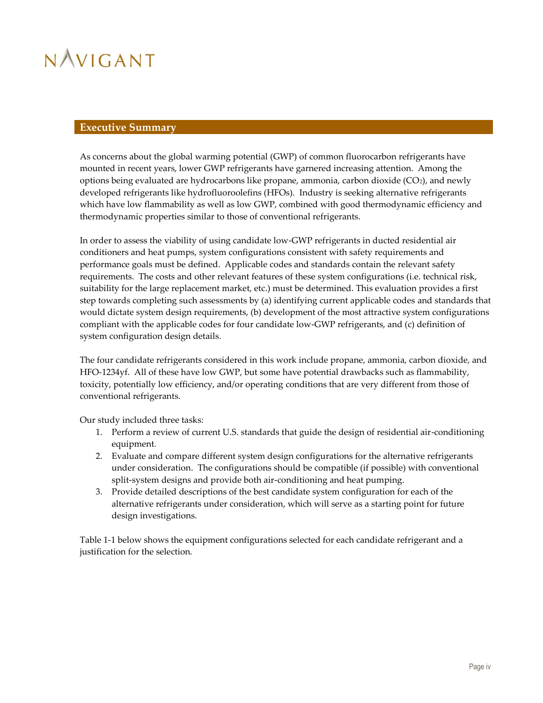#### <span id="page-4-0"></span>**Executive Summary**

As concerns about the global warming potential (GWP) of common fluorocarbon refrigerants have mounted in recent years, lower GWP refrigerants have garnered increasing attention. Among the options being evaluated are hydrocarbons like propane, ammonia, carbon dioxide (CO2), and newly developed refrigerants like hydrofluoroolefins (HFOs). Industry is seeking alternative refrigerants which have low flammability as well as low GWP, combined with good thermodynamic efficiency and thermodynamic properties similar to those of conventional refrigerants.

In order to assess the viability of using candidate low-GWP refrigerants in ducted residential air conditioners and heat pumps, system configurations consistent with safety requirements and performance goals must be defined. Applicable codes and standards contain the relevant safety requirements. The costs and other relevant features of these system configurations (i.e. technical risk, suitability for the large replacement market, etc.) must be determined. This evaluation provides a first step towards completing such assessments by (a) identifying current applicable codes and standards that would dictate system design requirements, (b) development of the most attractive system configurations compliant with the applicable codes for four candidate low-GWP refrigerants, and (c) definition of system configuration design details.

The four candidate refrigerants considered in this work include propane, ammonia, carbon dioxide, and HFO-1234yf. All of these have low GWP, but some have potential drawbacks such as flammability, toxicity, potentially low efficiency, and/or operating conditions that are very different from those of conventional refrigerants.

Our study included three tasks:

- 1. Perform a review of current U.S. standards that guide the design of residential air-conditioning equipment.
- 2. Evaluate and compare different system design configurations for the alternative refrigerants under consideration. The configurations should be compatible (if possible) with conventional split-system designs and provide both air-conditioning and heat pumping.
- 3. Provide detailed descriptions of the best candidate system configuration for each of the alternative refrigerants under consideration, which will serve as a starting point for future design investigations.

[Table 1-1](#page-5-0) below shows the equipment configurations selected for each candidate refrigerant and a justification for the selection.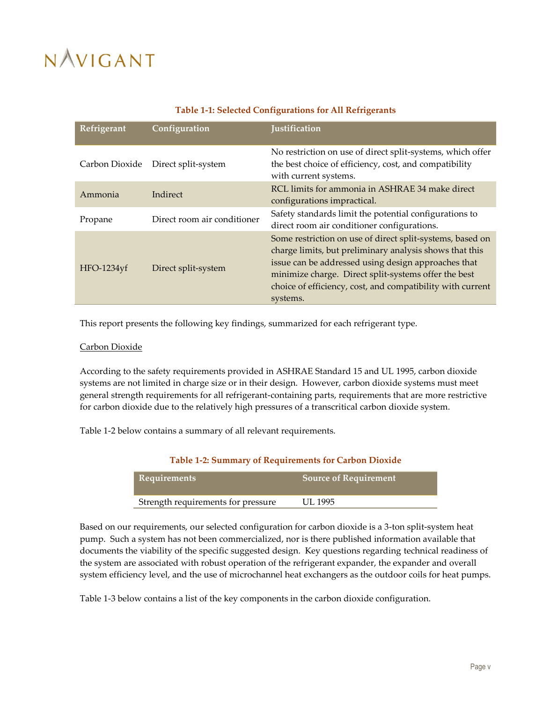<span id="page-5-0"></span>

| <b>Refrigerant</b> | Configuration               | Justification                                                                                                                                                                                                                                                                                                 |
|--------------------|-----------------------------|---------------------------------------------------------------------------------------------------------------------------------------------------------------------------------------------------------------------------------------------------------------------------------------------------------------|
| Carbon Dioxide     | Direct split-system         | No restriction on use of direct split-systems, which offer<br>the best choice of efficiency, cost, and compatibility<br>with current systems.                                                                                                                                                                 |
| Ammonia            | Indirect                    | RCL limits for ammonia in ASHRAE 34 make direct<br>configurations impractical.                                                                                                                                                                                                                                |
| Propane            | Direct room air conditioner | Safety standards limit the potential configurations to<br>direct room air conditioner configurations.                                                                                                                                                                                                         |
| HFO-1234yf         | Direct split-system         | Some restriction on use of direct split-systems, based on<br>charge limits, but preliminary analysis shows that this<br>issue can be addressed using design approaches that<br>minimize charge. Direct split-systems offer the best<br>choice of efficiency, cost, and compatibility with current<br>systems. |

This report presents the following key findings, summarized for each refrigerant type.

#### Carbon Dioxide

According to the safety requirements provided in ASHRAE Standard 15 and UL 1995, carbon dioxide systems are not limited in charge size or in their design. However, carbon dioxide systems must meet general strength requirements for all refrigerant-containing parts, requirements that are more restrictive for carbon dioxide due to the relatively high pressures of a transcritical carbon dioxide system.

<span id="page-5-1"></span>[Table 1-2](#page-5-1) below contains a summary of all relevant requirements.

| <b>Table 1-2: Summary of Requirements for Carbon Dioxide</b> |                              |  |
|--------------------------------------------------------------|------------------------------|--|
| Requirements                                                 | <b>Source of Requirement</b> |  |
| Strength requirements for pressure                           | UL 1995                      |  |

Based on our requirements, our selected configuration for carbon dioxide is a 3-ton split-system heat pump. Such a system has not been commercialized, nor is there published information available that documents the viability of the specific suggested design. Key questions regarding technical readiness of the system are associated with robust operation of the refrigerant expander, the expander and overall system efficiency level, and the use of microchannel heat exchangers as the outdoor coils for heat pumps.

[Table 1-3](#page-6-0) below contains a list of the key components in the carbon dioxide configuration.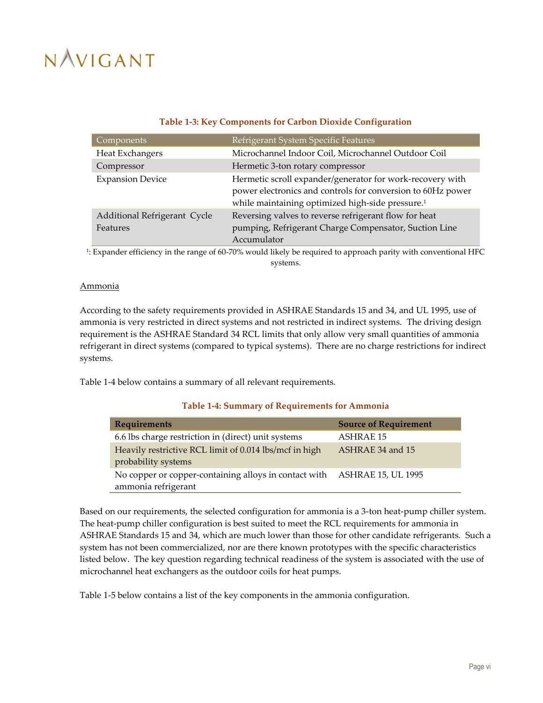### **Table 1-3: Key Components for Carbon Dioxide Configuration**

<span id="page-6-0"></span>

| Components                                      | Refrigerant System Specific Features                                                                                                                                                     |
|-------------------------------------------------|------------------------------------------------------------------------------------------------------------------------------------------------------------------------------------------|
| Heat Exchangers                                 | Microchannel Indoor Coil, Microchannel Outdoor Coil                                                                                                                                      |
| Compressor                                      | Hermetic 3-ton rotary compressor                                                                                                                                                         |
| <b>Expansion Device</b>                         | Hermetic scroll expander/generator for work-recovery with<br>power electronics and controls for conversion to 60Hz power<br>while maintaining optimized high-side pressure. <sup>1</sup> |
| Additional Refrigerant Cycle<br><b>Features</b> | Reversing valves to reverse refrigerant flow for heat<br>pumping, Refrigerant Charge Compensator, Suction Line<br>Accumulator                                                            |

1 : Expander efficiency in the range of 60-70% would likely be required to approach parity with conventional HFC systems.

### Ammonia

According to the safety requirements provided in ASHRAE Standards 15 and 34, and UL 1995, use of ammonia is very restricted in direct systems and not restricted in indirect systems. The driving design requirement is the ASHRAE Standard 34 RCL limits that only allow very small quantities of ammonia refrigerant in direct systems (compared to typical systems). There are no charge restrictions for indirect systems.

<span id="page-6-1"></span>[Table 1-4](#page-6-1) below contains a summary of all relevant requirements.

### **Table 1-4: Summary of Requirements for Ammonia**

| <b>Requirements</b>                                                           | <b>Source of Requirement</b> |
|-------------------------------------------------------------------------------|------------------------------|
| 6.6 lbs charge restriction in (direct) unit systems                           | ASHRAE 15                    |
| Heavily restrictive RCL limit of 0.014 lbs/mcf in high<br>probability systems | ASHRAE 34 and 15             |
| No copper or copper-containing alloys in contact with<br>ammonia refrigerant  | <b>ASHRAE 15, UL 1995</b>    |

Based on our requirements, the selected configuration for ammonia is a 3-ton heat-pump chiller system. The heat-pump chiller configuration is best suited to meet the RCL requirements for ammonia in ASHRAE Standards 15 and 34, which are much lower than those for other candidate refrigerants. Such a system has not been commercialized, nor are there known prototypes with the specific characteristics listed below. The key question regarding technical readiness of the system is associated with the use of microchannel heat exchangers as the outdoor coils for heat pumps.

[Table 1-5](#page-7-0) below contains a list of the key components in the ammonia configuration.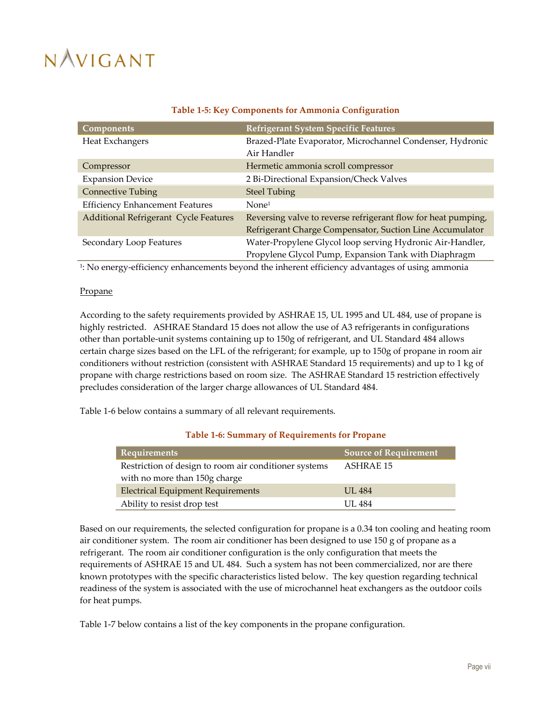<span id="page-7-0"></span>

| <b>Components</b>                            | <b>Refrigerant System Specific Features</b>                   |
|----------------------------------------------|---------------------------------------------------------------|
| Heat Exchangers                              | Brazed-Plate Evaporator, Microchannel Condenser, Hydronic     |
|                                              | Air Handler                                                   |
| Compressor                                   | Hermetic ammonia scroll compressor                            |
| <b>Expansion Device</b>                      | 2 Bi-Directional Expansion/Check Valves                       |
| <b>Connective Tubing</b>                     | <b>Steel Tubing</b>                                           |
| <b>Efficiency Enhancement Features</b>       | None <sup>1</sup>                                             |
| <b>Additional Refrigerant Cycle Features</b> | Reversing valve to reverse refrigerant flow for heat pumping, |
|                                              | Refrigerant Charge Compensator, Suction Line Accumulator      |
| Secondary Loop Features                      | Water-Propylene Glycol loop serving Hydronic Air-Handler,     |
|                                              | Propylene Glycol Pump, Expansion Tank with Diaphragm          |

### **Table 1-5: Key Components for Ammonia Configuration**

1 : No energy-efficiency enhancements beyond the inherent efficiency advantages of using ammonia

#### Propane

According to the safety requirements provided by ASHRAE 15, UL 1995 and UL 484, use of propane is highly restricted. ASHRAE Standard 15 does not allow the use of A3 refrigerants in configurations other than portable-unit systems containing up to 150g of refrigerant, and UL Standard 484 allows certain charge sizes based on the LFL of the refrigerant; for example, up to 150g of propane in room air conditioners without restriction (consistent with ASHRAE Standard 15 requirements) and up to 1 kg of propane with charge restrictions based on room size. The ASHRAE Standard 15 restriction effectively precludes consideration of the larger charge allowances of UL Standard 484.

<span id="page-7-1"></span>[Table 1-6](#page-7-1) below contains a summary of all relevant requirements.

### **Table 1-6: Summary of Requirements for Propane**

| <b>Requirements</b>                                   | <b>Source of Requirement</b> |
|-------------------------------------------------------|------------------------------|
| Restriction of design to room air conditioner systems | ASHRAE 15                    |
| with no more than 150g charge                         |                              |
| <b>Electrical Equipment Requirements</b>              | <b>UL 484</b>                |
| Ability to resist drop test                           | <b>UL 484</b>                |

Based on our requirements, the selected configuration for propane is a 0.34 ton cooling and heating room air conditioner system. The room air conditioner has been designed to use 150 g of propane as a refrigerant. The room air conditioner configuration is the only configuration that meets the requirements of ASHRAE 15 and UL 484. Such a system has not been commercialized, nor are there known prototypes with the specific characteristics listed below. The key question regarding technical readiness of the system is associated with the use of microchannel heat exchangers as the outdoor coils for heat pumps.

[Table 1-7](#page-8-0) below contains a list of the key components in the propane configuration.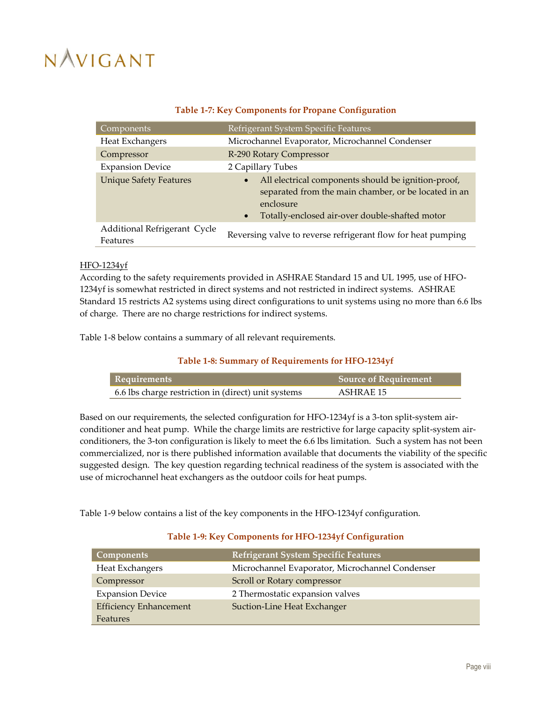<span id="page-8-0"></span>

| Components                               | Refrigerant System Specific Features                                                                                                                                                                 |
|------------------------------------------|------------------------------------------------------------------------------------------------------------------------------------------------------------------------------------------------------|
| Heat Exchangers                          | Microchannel Evaporator, Microchannel Condenser                                                                                                                                                      |
| Compressor                               | R-290 Rotary Compressor                                                                                                                                                                              |
| <b>Expansion Device</b>                  | 2 Capillary Tubes                                                                                                                                                                                    |
| <b>Unique Safety Features</b>            | All electrical components should be ignition-proof,<br>$\bullet$<br>separated from the main chamber, or be located in an<br>enclosure<br>Totally-enclosed air-over double-shafted motor<br>$\bullet$ |
| Additional Refrigerant Cycle<br>Features | Reversing valve to reverse refrigerant flow for heat pumping                                                                                                                                         |

### **Table 1-7: Key Components for Propane Configuration**

#### HFO-1234yf

According to the safety requirements provided in ASHRAE Standard 15 and UL 1995, use of HFO-1234yf is somewhat restricted in direct systems and not restricted in indirect systems. ASHRAE Standard 15 restricts A2 systems using direct configurations to unit systems using no more than 6.6 lbs of charge. There are no charge restrictions for indirect systems.

<span id="page-8-1"></span>[Table 1-8](#page-8-1) below contains a summary of all relevant requirements.

### **Table 1-8: Summary of Requirements for HFO-1234yf**

| <b>Requirements</b>                                 | <b>Source of Requirement</b> |
|-----------------------------------------------------|------------------------------|
| 6.6 lbs charge restriction in (direct) unit systems | ASHRAE 15                    |

Based on our requirements, the selected configuration for HFO-1234yf is a 3-ton split-system airconditioner and heat pump. While the charge limits are restrictive for large capacity split-system airconditioners, the 3-ton configuration is likely to meet the 6.6 lbs limitation. Such a system has not been commercialized, nor is there published information available that documents the viability of the specific suggested design. The key question regarding technical readiness of the system is associated with the use of microchannel heat exchangers as the outdoor coils for heat pumps.

[Table 1-9](#page-8-2) below contains a list of the key components in the HFO-1234yf configuration.

### **Table 1-9: Key Components for HFO-1234yf Configuration**

<span id="page-8-2"></span>

| <b>Components</b>             | <b>Refrigerant System Specific Features</b>     |
|-------------------------------|-------------------------------------------------|
| Heat Exchangers               | Microchannel Evaporator, Microchannel Condenser |
| Compressor                    | Scroll or Rotary compressor                     |
| <b>Expansion Device</b>       | 2 Thermostatic expansion valves                 |
| <b>Efficiency Enhancement</b> | Suction-Line Heat Exchanger                     |
| Features                      |                                                 |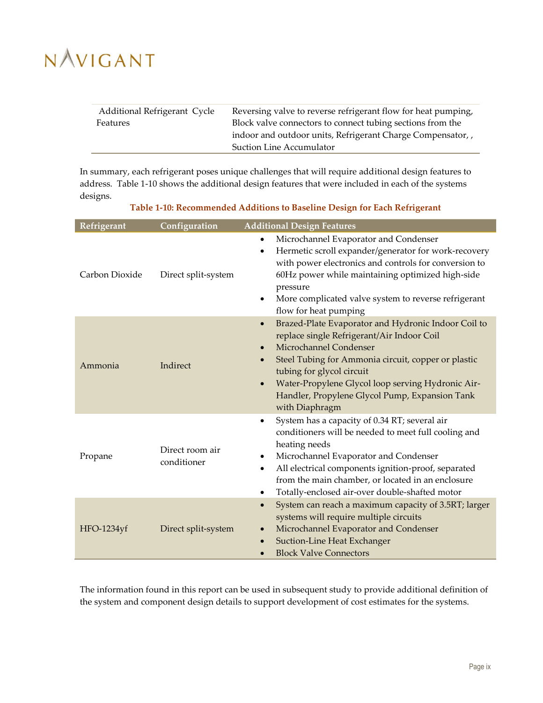| Additional Refrigerant Cycle | Reversing valve to reverse refrigerant flow for heat pumping, |
|------------------------------|---------------------------------------------------------------|
| Features                     | Block valve connectors to connect tubing sections from the    |
|                              | indoor and outdoor units, Refrigerant Charge Compensator,     |
|                              | Suction Line Accumulator                                      |

In summary, each refrigerant poses unique challenges that will require additional design features to address. [Table 1-10](#page-9-0) shows the additional design features that were included in each of the systems designs.

### **Table 1-10: Recommended Additions to Baseline Design for Each Refrigerant**

<span id="page-9-0"></span>

| Refrigerant    | Configuration                  | <b>Additional Design Features</b>                                                                                                                                                                                                                                                                                                                                                            |
|----------------|--------------------------------|----------------------------------------------------------------------------------------------------------------------------------------------------------------------------------------------------------------------------------------------------------------------------------------------------------------------------------------------------------------------------------------------|
| Carbon Dioxide | Direct split-system            | Microchannel Evaporator and Condenser<br>$\bullet$<br>Hermetic scroll expander/generator for work-recovery<br>$\bullet$<br>with power electronics and controls for conversion to<br>60Hz power while maintaining optimized high-side<br>pressure<br>More complicated valve system to reverse refrigerant<br>$\bullet$<br>flow for heat pumping                                               |
| Ammonia        | Indirect                       | Brazed-Plate Evaporator and Hydronic Indoor Coil to<br>$\bullet$<br>replace single Refrigerant/Air Indoor Coil<br>Microchannel Condenser<br>$\bullet$<br>Steel Tubing for Ammonia circuit, copper or plastic<br>$\bullet$<br>tubing for glycol circuit<br>Water-Propylene Glycol loop serving Hydronic Air-<br>$\bullet$<br>Handler, Propylene Glycol Pump, Expansion Tank<br>with Diaphragm |
| Propane        | Direct room air<br>conditioner | System has a capacity of 0.34 RT; several air<br>$\bullet$<br>conditioners will be needed to meet full cooling and<br>heating needs<br>Microchannel Evaporator and Condenser<br>٠<br>All electrical components ignition-proof, separated<br>$\bullet$<br>from the main chamber, or located in an enclosure<br>Totally-enclosed air-over double-shafted motor<br>٠                            |
| HFO-1234yf     | Direct split-system            | System can reach a maximum capacity of 3.5RT; larger<br>$\bullet$<br>systems will require multiple circuits<br>Microchannel Evaporator and Condenser<br>$\bullet$<br><b>Suction-Line Heat Exchanger</b><br>$\bullet$<br><b>Block Valve Connectors</b>                                                                                                                                        |

The information found in this report can be used in subsequent study to provide additional definition of the system and component design details to support development of cost estimates for the systems.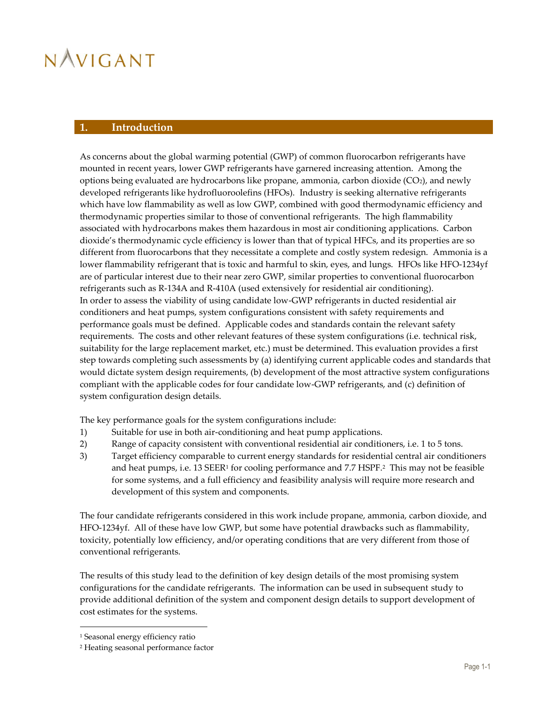### <span id="page-10-0"></span>**1. Introduction**

As concerns about the global warming potential (GWP) of common fluorocarbon refrigerants have mounted in recent years, lower GWP refrigerants have garnered increasing attention. Among the options being evaluated are hydrocarbons like propane, ammonia, carbon dioxide (CO2), and newly developed refrigerants like hydrofluoroolefins (HFOs). Industry is seeking alternative refrigerants which have low flammability as well as low GWP, combined with good thermodynamic efficiency and thermodynamic properties similar to those of conventional refrigerants. The high flammability associated with hydrocarbons makes them hazardous in most air conditioning applications. Carbon dioxide's thermodynamic cycle efficiency is lower than that of typical HFCs, and its properties are so different from fluorocarbons that they necessitate a complete and costly system redesign. Ammonia is a lower flammability refrigerant that is toxic and harmful to skin, eyes, and lungs. HFOs like HFO-1234yf are of particular interest due to their near zero GWP, similar properties to conventional fluorocarbon refrigerants such as R-134A and R-410A (used extensively for residential air conditioning). In order to assess the viability of using candidate low-GWP refrigerants in ducted residential air conditioners and heat pumps, system configurations consistent with safety requirements and performance goals must be defined. Applicable codes and standards contain the relevant safety requirements. The costs and other relevant features of these system configurations (i.e. technical risk, suitability for the large replacement market, etc.) must be determined. This evaluation provides a first step towards completing such assessments by (a) identifying current applicable codes and standards that would dictate system design requirements, (b) development of the most attractive system configurations compliant with the applicable codes for four candidate low-GWP refrigerants, and (c) definition of system configuration design details.

The key performance goals for the system configurations include:

- 1) Suitable for use in both air-conditioning and heat pump applications.
- 2) Range of capacity consistent with conventional residential air conditioners, i.e. 1 to 5 tons.
- 3) Target efficiency comparable to current energy standards for residential central air conditioners and heat pumps, i.e. 13 SEER<sup>1</sup> for cooling performance and 7.7 HSPF.<sup>2</sup> This may not be feasible for some systems, and a full efficiency and feasibility analysis will require more research and development of this system and components.

The four candidate refrigerants considered in this work include propane, ammonia, carbon dioxide, and HFO-1234yf. All of these have low GWP, but some have potential drawbacks such as flammability, toxicity, potentially low efficiency, and/or operating conditions that are very different from those of conventional refrigerants.

The results of this study lead to the definition of key design details of the most promising system configurations for the candidate refrigerants. The information can be used in subsequent study to provide additional definition of the system and component design details to support development of cost estimates for the systems.

 $\overline{a}$ 

<sup>1</sup> Seasonal energy efficiency ratio

<sup>2</sup> Heating seasonal performance factor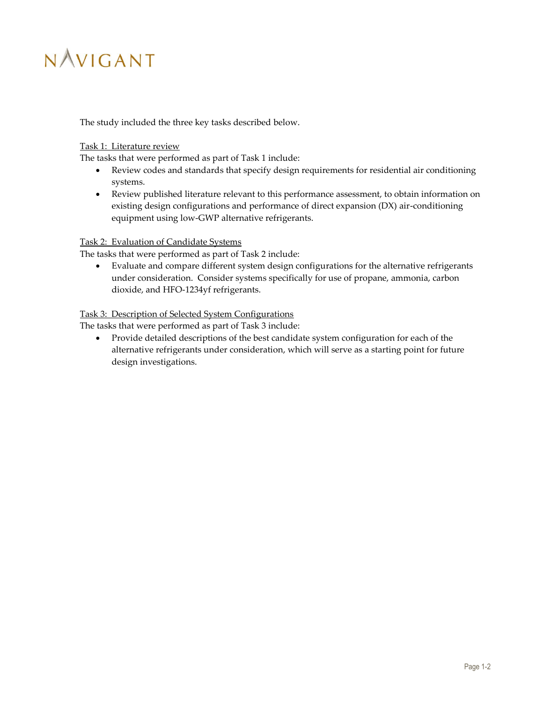The study included the three key tasks described below.

### Task 1: Literature review

The tasks that were performed as part of Task 1 include:

- Review codes and standards that specify design requirements for residential air conditioning systems.
- Review published literature relevant to this performance assessment, to obtain information on existing design configurations and performance of direct expansion (DX) air-conditioning equipment using low-GWP alternative refrigerants.

### Task 2: Evaluation of Candidate Systems

The tasks that were performed as part of Task 2 include:

 Evaluate and compare different system design configurations for the alternative refrigerants under consideration. Consider systems specifically for use of propane, ammonia, carbon dioxide, and HFO-1234yf refrigerants.

### Task 3: Description of Selected System Configurations

The tasks that were performed as part of Task 3 include:

 Provide detailed descriptions of the best candidate system configuration for each of the alternative refrigerants under consideration, which will serve as a starting point for future design investigations.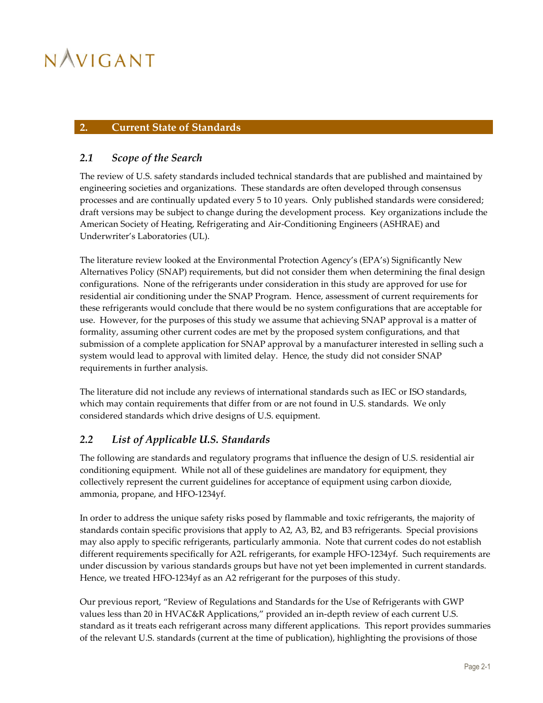### <span id="page-12-0"></span>**2. Current State of Standards**

### <span id="page-12-1"></span>*2.1 Scope of the Search*

The review of U.S. safety standards included technical standards that are published and maintained by engineering societies and organizations. These standards are often developed through consensus processes and are continually updated every 5 to 10 years. Only published standards were considered; draft versions may be subject to change during the development process. Key organizations include the American Society of Heating, Refrigerating and Air-Conditioning Engineers (ASHRAE) and Underwriter's Laboratories (UL).

The literature review looked at the Environmental Protection Agency's (EPA's) Significantly New Alternatives Policy (SNAP) requirements, but did not consider them when determining the final design configurations. None of the refrigerants under consideration in this study are approved for use for residential air conditioning under the SNAP Program. Hence, assessment of current requirements for these refrigerants would conclude that there would be no system configurations that are acceptable for use. However, for the purposes of this study we assume that achieving SNAP approval is a matter of formality, assuming other current codes are met by the proposed system configurations, and that submission of a complete application for SNAP approval by a manufacturer interested in selling such a system would lead to approval with limited delay. Hence, the study did not consider SNAP requirements in further analysis.

The literature did not include any reviews of international standards such as IEC or ISO standards, which may contain requirements that differ from or are not found in U.S. standards. We only considered standards which drive designs of U.S. equipment.

### <span id="page-12-2"></span>*2.2 List of Applicable U.S. Standards*

The following are standards and regulatory programs that influence the design of U.S. residential air conditioning equipment. While not all of these guidelines are mandatory for equipment, they collectively represent the current guidelines for acceptance of equipment using carbon dioxide, ammonia, propane, and HFO-1234yf.

In order to address the unique safety risks posed by flammable and toxic refrigerants, the majority of standards contain specific provisions that apply to A2, A3, B2, and B3 refrigerants. Special provisions may also apply to specific refrigerants, particularly ammonia. Note that current codes do not establish different requirements specifically for A2L refrigerants, for example HFO-1234yf. Such requirements are under discussion by various standards groups but have not yet been implemented in current standards. Hence, we treated HFO-1234yf as an A2 refrigerant for the purposes of this study.

Our previous report, "Review of Regulations and Standards for the Use of Refrigerants with GWP values less than 20 in HVAC&R Applications," provided an in-depth review of each current U.S. standard as it treats each refrigerant across many different applications. This report provides summaries of the relevant U.S. standards (current at the time of publication), highlighting the provisions of those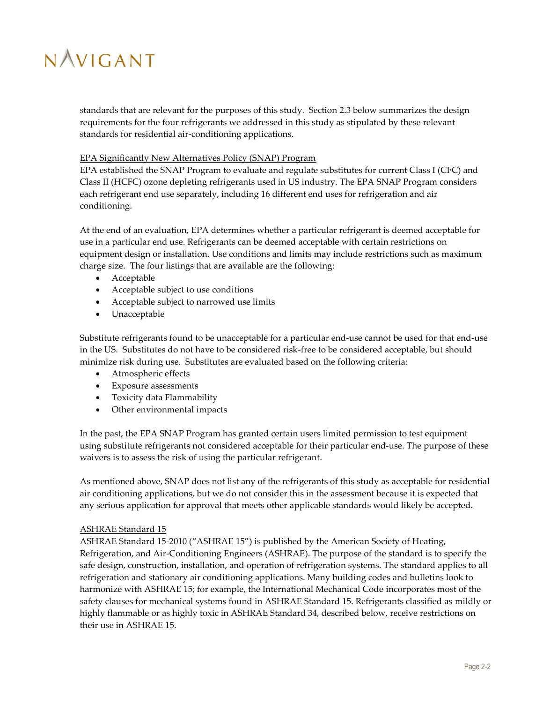standards that are relevant for the purposes of this study. Section [2.3](#page-17-0) below summarizes the design requirements for the four refrigerants we addressed in this study as stipulated by these relevant standards for residential air-conditioning applications.

#### EPA Significantly New Alternatives Policy (SNAP) Program

EPA established the SNAP Program to evaluate and regulate substitutes for current Class I (CFC) and Class II (HCFC) ozone depleting refrigerants used in US industry. The EPA SNAP Program considers each refrigerant end use separately, including 16 different end uses for refrigeration and air conditioning.

At the end of an evaluation, EPA determines whether a particular refrigerant is deemed acceptable for use in a particular end use. Refrigerants can be deemed acceptable with certain restrictions on equipment design or installation. Use conditions and limits may include restrictions such as maximum charge size. The four listings that are available are the following:

- Acceptable
- Acceptable subject to use conditions
- Acceptable subject to narrowed use limits
- Unacceptable

Substitute refrigerants found to be unacceptable for a particular end-use cannot be used for that end-use in the US. Substitutes do not have to be considered risk-free to be considered acceptable, but should minimize risk during use. Substitutes are evaluated based on the following criteria:

- Atmospheric effects
- Exposure assessments
- Toxicity data Flammability
- Other environmental impacts

In the past, the EPA SNAP Program has granted certain users limited permission to test equipment using substitute refrigerants not considered acceptable for their particular end-use. The purpose of these waivers is to assess the risk of using the particular refrigerant.

As mentioned above, SNAP does not list any of the refrigerants of this study as acceptable for residential air conditioning applications, but we do not consider this in the assessment because it is expected that any serious application for approval that meets other applicable standards would likely be accepted.

### ASHRAE Standard 15

ASHRAE Standard 15-2010 ("ASHRAE 15") is published by the American Society of Heating, Refrigeration, and Air-Conditioning Engineers (ASHRAE). The purpose of the standard is to specify the safe design, construction, installation, and operation of refrigeration systems. The standard applies to all refrigeration and stationary air conditioning applications. Many building codes and bulletins look to harmonize with ASHRAE 15; for example, the International Mechanical Code incorporates most of the safety clauses for mechanical systems found in ASHRAE Standard 15. Refrigerants classified as mildly or highly flammable or as highly toxic in ASHRAE Standard 34, described below, receive restrictions on their use in ASHRAE 15.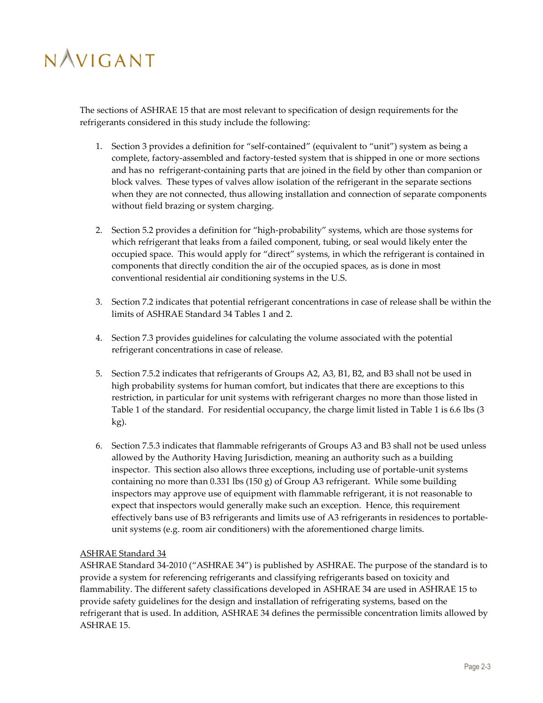The sections of ASHRAE 15 that are most relevant to specification of design requirements for the refrigerants considered in this study include the following:

- 1. Section 3 provides a definition for "self-contained" (equivalent to "unit") system as being a complete, factory-assembled and factory-tested system that is shipped in one or more sections and has no refrigerant-containing parts that are joined in the field by other than companion or block valves. These types of valves allow isolation of the refrigerant in the separate sections when they are not connected, thus allowing installation and connection of separate components without field brazing or system charging.
- 2. Section 5.2 provides a definition for "high-probability" systems, which are those systems for which refrigerant that leaks from a failed component, tubing, or seal would likely enter the occupied space. This would apply for "direct" systems, in which the refrigerant is contained in components that directly condition the air of the occupied spaces, as is done in most conventional residential air conditioning systems in the U.S.
- 3. Section 7.2 indicates that potential refrigerant concentrations in case of release shall be within the limits of ASHRAE Standard 34 Tables 1 and 2.
- 4. Section 7.3 provides guidelines for calculating the volume associated with the potential refrigerant concentrations in case of release.
- 5. Section 7.5.2 indicates that refrigerants of Groups A2, A3, B1, B2, and B3 shall not be used in high probability systems for human comfort, but indicates that there are exceptions to this restriction, in particular for unit systems with refrigerant charges no more than those listed in Table 1 of the standard. For residential occupancy, the charge limit listed in Table 1 is 6.6 lbs (3 kg).
- 6. Section 7.5.3 indicates that flammable refrigerants of Groups A3 and B3 shall not be used unless allowed by the Authority Having Jurisdiction, meaning an authority such as a building inspector. This section also allows three exceptions, including use of portable-unit systems containing no more than  $0.331$  lbs  $(150 g)$  of Group A3 refrigerant. While some building inspectors may approve use of equipment with flammable refrigerant, it is not reasonable to expect that inspectors would generally make such an exception. Hence, this requirement effectively bans use of B3 refrigerants and limits use of A3 refrigerants in residences to portableunit systems (e.g. room air conditioners) with the aforementioned charge limits.

### ASHRAE Standard 34

ASHRAE Standard 34-2010 ("ASHRAE 34") is published by ASHRAE. The purpose of the standard is to provide a system for referencing refrigerants and classifying refrigerants based on toxicity and flammability. The different safety classifications developed in ASHRAE 34 are used in ASHRAE 15 to provide safety guidelines for the design and installation of refrigerating systems, based on the refrigerant that is used. In addition, ASHRAE 34 defines the permissible concentration limits allowed by ASHRAE 15.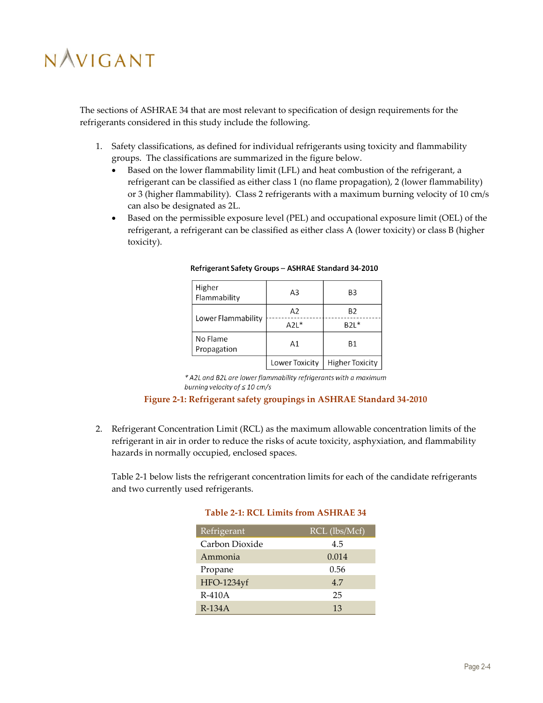The sections of ASHRAE 34 that are most relevant to specification of design requirements for the refrigerants considered in this study include the following.

- 1. Safety classifications, as defined for individual refrigerants using toxicity and flammability groups. The classifications are summarized in the figure below.
	- Based on the lower flammability limit (LFL) and heat combustion of the refrigerant, a refrigerant can be classified as either class 1 (no flame propagation), 2 (lower flammability) or 3 (higher flammability). Class 2 refrigerants with a maximum burning velocity of 10 cm/s can also be designated as 2L.
	- Based on the permissible exposure level (PEL) and occupational exposure limit (OEL) of the refrigerant, a refrigerant can be classified as either class A (lower toxicity) or class B (higher toxicity).

| Higher<br>Flammability        | A3             | B <sub>3</sub>         |
|-------------------------------|----------------|------------------------|
|                               | A2             | Β2                     |
| Lower Flammability            | $A2L*$         | $B2L*$                 |
| No Flame<br>A1<br>Propagation |                | <b>B1</b>              |
|                               | Lower Toxicity | <b>Higher Toxicity</b> |

Refrigerant Safety Groups - ASHRAE Standard 34-2010

\* A2L and B2L are lower flammability refrigerants with a maximum burning velocity of  $\leq 10$  cm/s

### **Figure 2-1: Refrigerant safety groupings in ASHRAE Standard 34-2010**

<span id="page-15-0"></span>2. Refrigerant Concentration Limit (RCL) as the maximum allowable concentration limits of the refrigerant in air in order to reduce the risks of acute toxicity, asphyxiation, and flammability hazards in normally occupied, enclosed spaces.

<span id="page-15-1"></span>[Table 2-1](#page-15-1) below lists the refrigerant concentration limits for each of the candidate refrigerants and two currently used refrigerants.

| Refrigerant    | $RCL$ (lbs/Mcf) |
|----------------|-----------------|
| Carbon Dioxide | 4.5             |
| Ammonia        | 0.014           |
| Propane        | 0.56            |
| HFO-1234yf     | 4.7             |
| $R-410A$       | 25              |

R-134A 13

### **Table 2-1: RCL Limits from ASHRAE 34**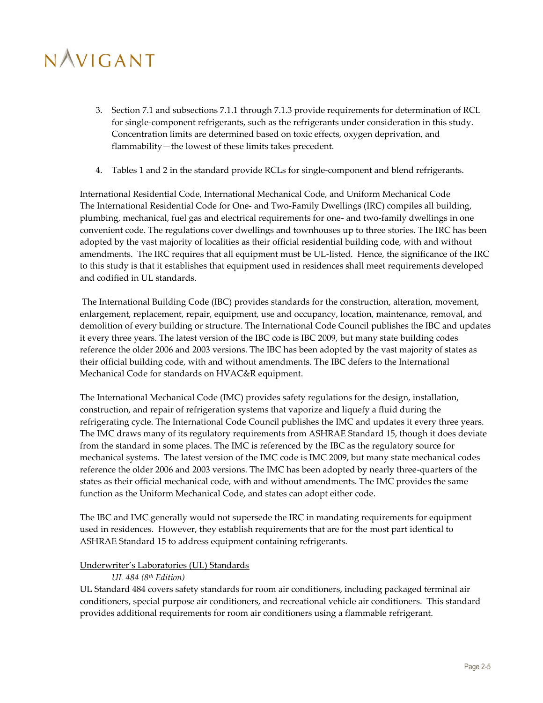- 3. Section 7.1 and subsections 7.1.1 through 7.1.3 provide requirements for determination of RCL for single-component refrigerants, such as the refrigerants under consideration in this study. Concentration limits are determined based on toxic effects, oxygen deprivation, and flammability—the lowest of these limits takes precedent.
- 4. Tables 1 and 2 in the standard provide RCLs for single-component and blend refrigerants.

International Residential Code, International Mechanical Code, and Uniform Mechanical Code The International Residential Code for One- and Two-Family Dwellings (IRC) compiles all building, plumbing, mechanical, fuel gas and electrical requirements for one- and two-family dwellings in one convenient code. The regulations cover dwellings and townhouses up to three stories. The IRC has been adopted by the vast majority of localities as their official residential building code, with and without amendments. The IRC requires that all equipment must be UL-listed. Hence, the significance of the IRC to this study is that it establishes that equipment used in residences shall meet requirements developed and codified in UL standards.

The International Building Code (IBC) provides standards for the construction, alteration, movement, enlargement, replacement, repair, equipment, use and occupancy, location, maintenance, removal, and demolition of every building or structure. The International Code Council publishes the IBC and updates it every three years. The latest version of the IBC code is IBC 2009, but many state building codes reference the older 2006 and 2003 versions. The IBC has been adopted by the vast majority of states as their official building code, with and without amendments. The IBC defers to the International Mechanical Code for standards on HVAC&R equipment.

The International Mechanical Code (IMC) provides safety regulations for the design, installation, construction, and repair of refrigeration systems that vaporize and liquefy a fluid during the refrigerating cycle. The International Code Council publishes the IMC and updates it every three years. The IMC draws many of its regulatory requirements from ASHRAE Standard 15, though it does deviate from the standard in some places. The IMC is referenced by the IBC as the regulatory source for mechanical systems. The latest version of the IMC code is IMC 2009, but many state mechanical codes reference the older 2006 and 2003 versions. The IMC has been adopted by nearly three-quarters of the states as their official mechanical code, with and without amendments. The IMC provides the same function as the Uniform Mechanical Code, and states can adopt either code.

The IBC and IMC generally would not supersede the IRC in mandating requirements for equipment used in residences. However, they establish requirements that are for the most part identical to ASHRAE Standard 15 to address equipment containing refrigerants.

### Underwriter's Laboratories (UL) Standards

#### *UL 484 (8th Edition)*

UL Standard 484 covers safety standards for room air conditioners, including packaged terminal air conditioners, special purpose air conditioners, and recreational vehicle air conditioners. This standard provides additional requirements for room air conditioners using a flammable refrigerant.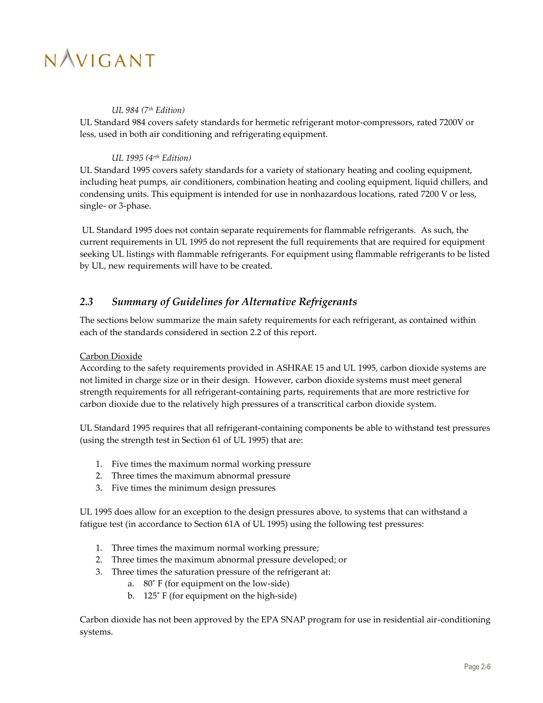#### *UL 984 (7th Edition)*

UL Standard 984 covers safety standards for hermetic refrigerant motor-compressors, rated 7200V or less, used in both air conditioning and refrigerating equipment.

### *UL 1995 (4rth Edition)*

UL Standard 1995 covers safety standards for a variety of stationary heating and cooling equipment, including heat pumps, air conditioners, combination heating and cooling equipment, liquid chillers, and condensing units. This equipment is intended for use in nonhazardous locations, rated 7200 V or less, single- or 3-phase.

UL Standard 1995 does not contain separate requirements for flammable refrigerants. As such, the current requirements in UL 1995 do not represent the full requirements that are required for equipment seeking UL listings with flammable refrigerants. For equipment using flammable refrigerants to be listed by UL, new requirements will have to be created.

### <span id="page-17-0"></span>*2.3 Summary of Guidelines for Alternative Refrigerants*

The sections below summarize the main safety requirements for each refrigerant, as contained within each of the standards considered in section [2.2](#page-12-2) of this report.

### Carbon Dioxide

According to the safety requirements provided in ASHRAE 15 and UL 1995, carbon dioxide systems are not limited in charge size or in their design. However, carbon dioxide systems must meet general strength requirements for all refrigerant-containing parts, requirements that are more restrictive for carbon dioxide due to the relatively high pressures of a transcritical carbon dioxide system.

UL Standard 1995 requires that all refrigerant-containing components be able to withstand test pressures (using the strength test in Section 61 of UL 1995) that are:

- 1. Five times the maximum normal working pressure
- 2. Three times the maximum abnormal pressure
- 3. Five times the minimum design pressures

UL 1995 does allow for an exception to the design pressures above, to systems that can withstand a fatigue test (in accordance to Section 61A of UL 1995) using the following test pressures:

- 1. Three times the maximum normal working pressure;
- 2. Three times the maximum abnormal pressure developed; or
- 3. Three times the saturation pressure of the refrigerant at:
	- a. 80˚ F (for equipment on the low-side)
	- b. 125˚ F (for equipment on the high-side)

Carbon dioxide has not been approved by the EPA SNAP program for use in residential air-conditioning systems.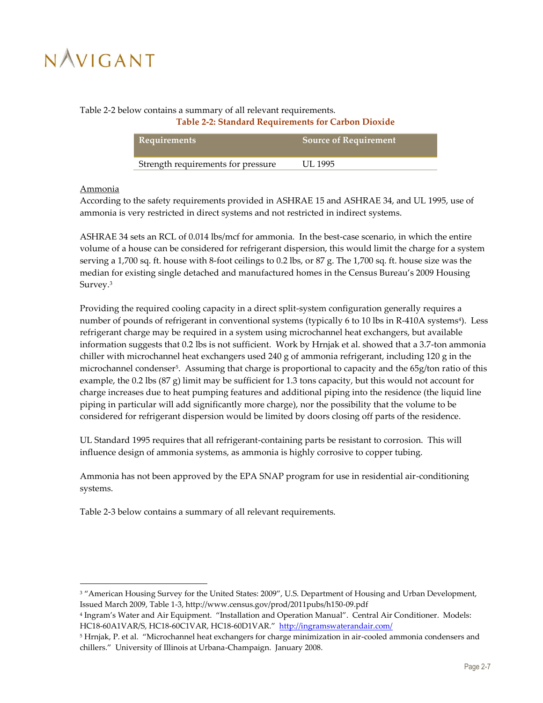### <span id="page-18-0"></span>[Table 2-2](#page-18-0) below contains a summary of all relevant requirements.

#### **Table 2-2: Standard Requirements for Carbon Dioxide**

| Requirements                       | <b>Source of Requirement</b> |
|------------------------------------|------------------------------|
| Strength requirements for pressure | UL 1995                      |

### Ammonia

 $\overline{a}$ 

According to the safety requirements provided in ASHRAE 15 and ASHRAE 34, and UL 1995, use of ammonia is very restricted in direct systems and not restricted in indirect systems.

ASHRAE 34 sets an RCL of 0.014 lbs/mcf for ammonia. In the best-case scenario, in which the entire volume of a house can be considered for refrigerant dispersion, this would limit the charge for a system serving a 1,700 sq. ft. house with 8-foot ceilings to 0.2 lbs, or 87 g. The 1,700 sq. ft. house size was the median for existing single detached and manufactured homes in the Census Bureau's 2009 Housing Survey.<sup>3</sup>

Providing the required cooling capacity in a direct split-system configuration generally requires a number of pounds of refrigerant in conventional systems (typically 6 to 10 lbs in R-410A systems<sup>4</sup> ). Less refrigerant charge may be required in a system using microchannel heat exchangers, but available information suggests that 0.2 lbs is not sufficient. Work by Hrnjak et al. showed that a 3.7-ton ammonia chiller with microchannel heat exchangers used 240 g of ammonia refrigerant, including 120 g in the microchannel condenser<sup>5</sup> . Assuming that charge is proportional to capacity and the 65g/ton ratio of this example, the 0.2 lbs  $(87 g)$  limit may be sufficient for 1.3 tons capacity, but this would not account for charge increases due to heat pumping features and additional piping into the residence (the liquid line piping in particular will add significantly more charge), nor the possibility that the volume to be considered for refrigerant dispersion would be limited by doors closing off parts of the residence.

UL Standard 1995 requires that all refrigerant-containing parts be resistant to corrosion. This will influence design of ammonia systems, as ammonia is highly corrosive to copper tubing.

Ammonia has not been approved by the EPA SNAP program for use in residential air-conditioning systems.

[Table 2-3](#page-19-0) below contains a summary of all relevant requirements.

<sup>&</sup>lt;sup>3</sup> "American Housing Survey for the United States: 2009", U.S. Department of Housing and Urban Development, Issued March 2009, Table 1-3, http://www.census.gov/prod/2011pubs/h150-09.pdf

<sup>4</sup> Ingram's Water and Air Equipment. "Installation and Operation Manual". Central Air Conditioner. Models: HC18-60A1VAR/S, HC18-60C1VAR, HC18-60D1VAR." <http://ingramswaterandair.com/>

<sup>5</sup> Hrnjak, P. et al. "Microchannel heat exchangers for charge minimization in air-cooled ammonia condensers and chillers." University of Illinois at Urbana-Champaign. January 2008.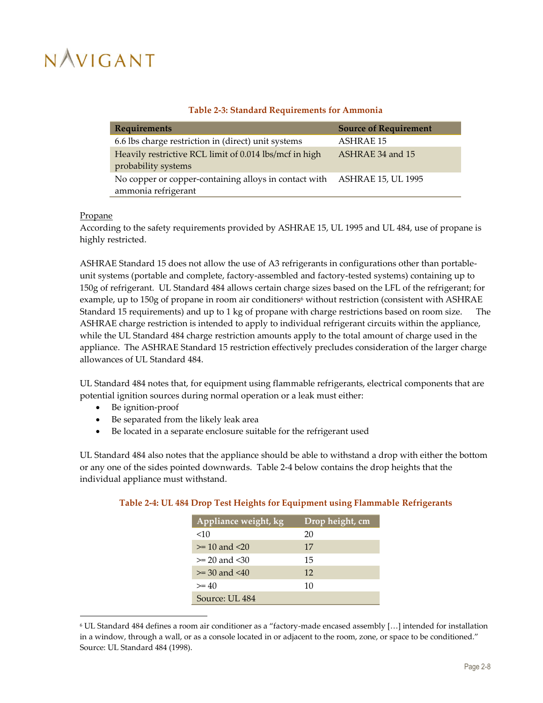### **Table 2-3: Standard Requirements for Ammonia**

<span id="page-19-0"></span>

| Requirements                                           | <b>Source of Requirement</b> |
|--------------------------------------------------------|------------------------------|
| 6.6 lbs charge restriction in (direct) unit systems    | <b>ASHRAE 15</b>             |
| Heavily restrictive RCL limit of 0.014 lbs/mcf in high | ASHRAE 34 and 15             |
| probability systems                                    |                              |
| No copper or copper-containing alloys in contact with  | <b>ASHRAE 15, UL 1995</b>    |
| ammonia refrigerant                                    |                              |

#### **Propane**

1

According to the safety requirements provided by ASHRAE 15, UL 1995 and UL 484, use of propane is highly restricted.

ASHRAE Standard 15 does not allow the use of A3 refrigerants in configurations other than portableunit systems (portable and complete, factory-assembled and factory-tested systems) containing up to 150g of refrigerant. UL Standard 484 allows certain charge sizes based on the LFL of the refrigerant; for example, up to 150g of propane in room air conditioners<sup>6</sup> without restriction (consistent with ASHRAE Standard 15 requirements) and up to 1 kg of propane with charge restrictions based on room size. The ASHRAE charge restriction is intended to apply to individual refrigerant circuits within the appliance, while the UL Standard 484 charge restriction amounts apply to the total amount of charge used in the appliance. The ASHRAE Standard 15 restriction effectively precludes consideration of the larger charge allowances of UL Standard 484.

UL Standard 484 notes that, for equipment using flammable refrigerants, electrical components that are potential ignition sources during normal operation or a leak must either:

- Be ignition-proof
- Be separated from the likely leak area
- Be located in a separate enclosure suitable for the refrigerant used

UL Standard 484 also notes that the appliance should be able to withstand a drop with either the bottom or any one of the sides pointed downwards. [Table 2-4](#page-19-1) below contains the drop heights that the individual appliance must withstand.

<span id="page-19-1"></span>

| Table 2-4: UL 484 Drop Test Heights for Equipment using Flammable Refrigerants |  |  |  |
|--------------------------------------------------------------------------------|--|--|--|
|                                                                                |  |  |  |

| Appliance weight, kg | Drop height, cm |
|----------------------|-----------------|
| $<$ 10               | 20              |
| $>= 10$ and $< 20$   | 17              |
| $>= 20$ and $< 30$   | 15              |
| $>= 30$ and $< 40$   | 12              |
| $>= 40$              | 10              |
| Source: UL 484       |                 |

<sup>6</sup> UL Standard 484 defines a room air conditioner as a "factory-made encased assembly […] intended for installation in a window, through a wall, or as a console located in or adjacent to the room, zone, or space to be conditioned." Source: UL Standard 484 (1998).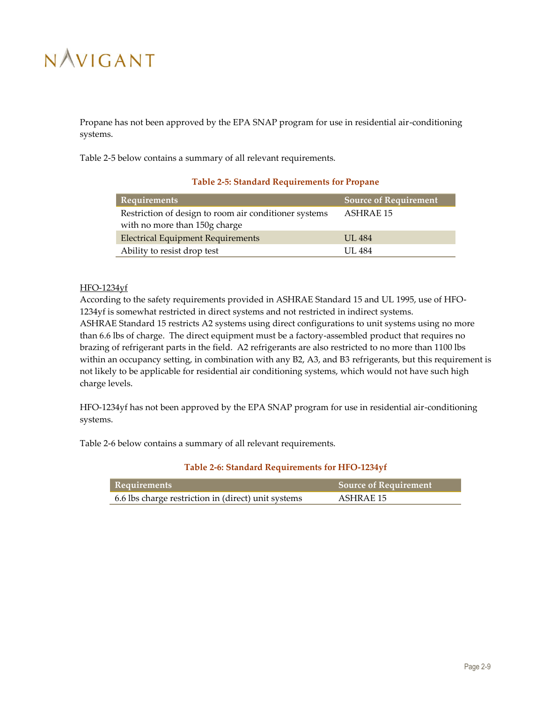Propane has not been approved by the EPA SNAP program for use in residential air-conditioning systems.

<span id="page-20-0"></span>[Table 2-5](#page-20-0) below contains a summary of all relevant requirements.

### **Table 2-5: Standard Requirements for Propane**

| Requirements                                          | <b>Source of Requirement</b> |
|-------------------------------------------------------|------------------------------|
| Restriction of design to room air conditioner systems | ASHRAE 15                    |
| with no more than 150g charge                         |                              |
| <b>Electrical Equipment Requirements</b>              | <b>UL 484</b>                |
| Ability to resist drop test                           | <b>UL 484</b>                |

### HFO-1234yf

According to the safety requirements provided in ASHRAE Standard 15 and UL 1995, use of HFO-1234yf is somewhat restricted in direct systems and not restricted in indirect systems. ASHRAE Standard 15 restricts A2 systems using direct configurations to unit systems using no more than 6.6 lbs of charge. The direct equipment must be a factory-assembled product that requires no brazing of refrigerant parts in the field. A2 refrigerants are also restricted to no more than 1100 lbs within an occupancy setting, in combination with any B2, A3, and B3 refrigerants, but this requirement is not likely to be applicable for residential air conditioning systems, which would not have such high charge levels.

HFO-1234yf has not been approved by the EPA SNAP program for use in residential air-conditioning systems.

<span id="page-20-1"></span>[Table 2-6](#page-20-1) below contains a summary of all relevant requirements.

| Table 2-6: Standard Requirements for HFO-1234yf |
|-------------------------------------------------|
|-------------------------------------------------|

| Requirements                                        | Source of Requirement |
|-----------------------------------------------------|-----------------------|
| 6.6 lbs charge restriction in (direct) unit systems | ASHRAE 15             |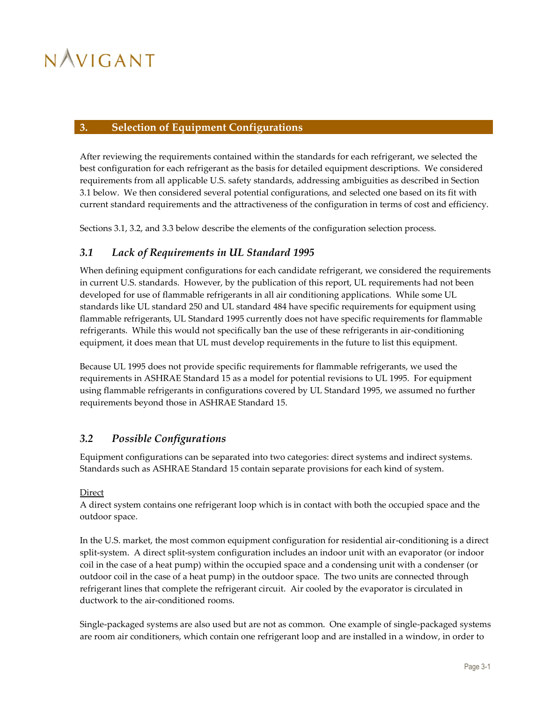### <span id="page-21-0"></span>**3. Selection of Equipment Configurations**

After reviewing the requirements contained within the standards for each refrigerant, we selected the best configuration for each refrigerant as the basis for detailed equipment descriptions. We considered requirements from all applicable U.S. safety standards, addressing ambiguities as described in Section [3.1](#page-21-1) below. We then considered several potential configurations, and selected one based on its fit with current standard requirements and the attractiveness of the configuration in terms of cost and efficiency.

<span id="page-21-1"></span>Section[s 3.1,](#page-21-1) [3.2,](#page-21-2) and [3.3](#page-22-0) below describe the elements of the configuration selection process.

### *3.1 Lack of Requirements in UL Standard 1995*

When defining equipment configurations for each candidate refrigerant, we considered the requirements in current U.S. standards. However, by the publication of this report, UL requirements had not been developed for use of flammable refrigerants in all air conditioning applications. While some UL standards like UL standard 250 and UL standard 484 have specific requirements for equipment using flammable refrigerants, UL Standard 1995 currently does not have specific requirements for flammable refrigerants. While this would not specifically ban the use of these refrigerants in air-conditioning equipment, it does mean that UL must develop requirements in the future to list this equipment.

Because UL 1995 does not provide specific requirements for flammable refrigerants, we used the requirements in ASHRAE Standard 15 as a model for potential revisions to UL 1995. For equipment using flammable refrigerants in configurations covered by UL Standard 1995, we assumed no further requirements beyond those in ASHRAE Standard 15.

### <span id="page-21-2"></span>*3.2 Possible Configurations*

Equipment configurations can be separated into two categories: direct systems and indirect systems. Standards such as ASHRAE Standard 15 contain separate provisions for each kind of system.

### **Direct**

A direct system contains one refrigerant loop which is in contact with both the occupied space and the outdoor space.

In the U.S. market, the most common equipment configuration for residential air-conditioning is a direct split-system. A direct split-system configuration includes an indoor unit with an evaporator (or indoor coil in the case of a heat pump) within the occupied space and a condensing unit with a condenser (or outdoor coil in the case of a heat pump) in the outdoor space. The two units are connected through refrigerant lines that complete the refrigerant circuit. Air cooled by the evaporator is circulated in ductwork to the air-conditioned rooms.

Single-packaged systems are also used but are not as common. One example of single-packaged systems are room air conditioners, which contain one refrigerant loop and are installed in a window, in order to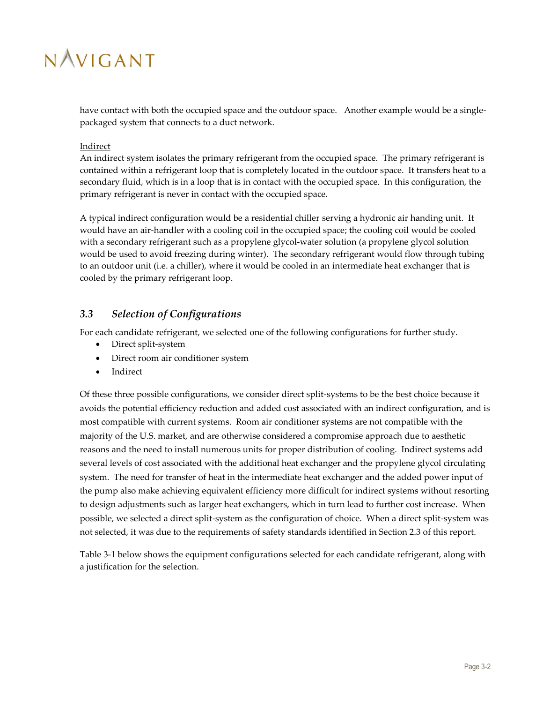have contact with both the occupied space and the outdoor space. Another example would be a singlepackaged system that connects to a duct network.

### Indirect

An indirect system isolates the primary refrigerant from the occupied space. The primary refrigerant is contained within a refrigerant loop that is completely located in the outdoor space. It transfers heat to a secondary fluid, which is in a loop that is in contact with the occupied space. In this configuration, the primary refrigerant is never in contact with the occupied space.

A typical indirect configuration would be a residential chiller serving a hydronic air handing unit. It would have an air-handler with a cooling coil in the occupied space; the cooling coil would be cooled with a secondary refrigerant such as a propylene glycol-water solution (a propylene glycol solution would be used to avoid freezing during winter). The secondary refrigerant would flow through tubing to an outdoor unit (i.e. a chiller), where it would be cooled in an intermediate heat exchanger that is cooled by the primary refrigerant loop.

### <span id="page-22-0"></span>*3.3 Selection of Configurations*

For each candidate refrigerant, we selected one of the following configurations for further study.

- Direct split-system
- Direct room air conditioner system
- Indirect

Of these three possible configurations, we consider direct split-systems to be the best choice because it avoids the potential efficiency reduction and added cost associated with an indirect configuration, and is most compatible with current systems. Room air conditioner systems are not compatible with the majority of the U.S. market, and are otherwise considered a compromise approach due to aesthetic reasons and the need to install numerous units for proper distribution of cooling. Indirect systems add several levels of cost associated with the additional heat exchanger and the propylene glycol circulating system. The need for transfer of heat in the intermediate heat exchanger and the added power input of the pump also make achieving equivalent efficiency more difficult for indirect systems without resorting to design adjustments such as larger heat exchangers, which in turn lead to further cost increase. When possible, we selected a direct split-system as the configuration of choice. When a direct split-system was not selected, it was due to the requirements of safety standards identified in Section [2.3](#page-17-0) of this report.

[Table 3-1](#page-23-0) below shows the equipment configurations selected for each candidate refrigerant, along with a justification for the selection.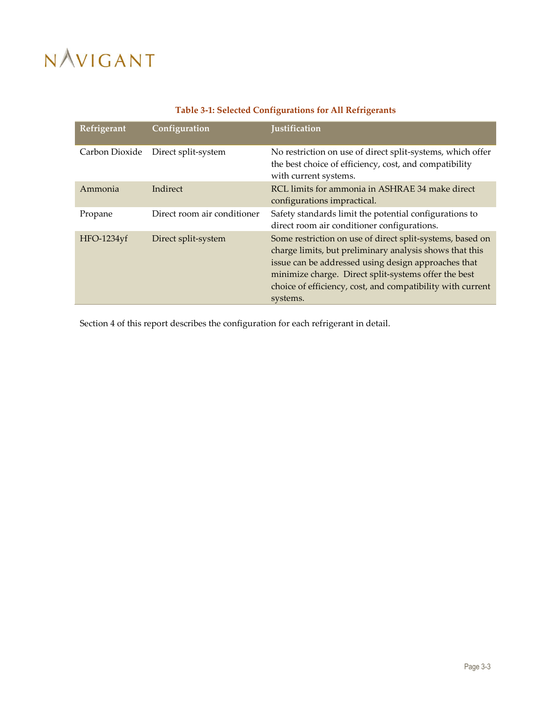<span id="page-23-0"></span>

| Refrigerant    | Configuration               | <b>Justification</b>                                                                                                                                                                                                                                                                                          |
|----------------|-----------------------------|---------------------------------------------------------------------------------------------------------------------------------------------------------------------------------------------------------------------------------------------------------------------------------------------------------------|
| Carbon Dioxide | Direct split-system         | No restriction on use of direct split-systems, which offer<br>the best choice of efficiency, cost, and compatibility<br>with current systems.                                                                                                                                                                 |
| Ammonia        | Indirect                    | RCL limits for ammonia in ASHRAE 34 make direct<br>configurations impractical.                                                                                                                                                                                                                                |
| Propane        | Direct room air conditioner | Safety standards limit the potential configurations to<br>direct room air conditioner configurations.                                                                                                                                                                                                         |
| HFO-1234yf     | Direct split-system         | Some restriction on use of direct split-systems, based on<br>charge limits, but preliminary analysis shows that this<br>issue can be addressed using design approaches that<br>minimize charge. Direct split-systems offer the best<br>choice of efficiency, cost, and compatibility with current<br>systems. |

### **Table 3-1: Selected Configurations for All Refrigerants**

Sectio[n 4](#page-24-0) of this report describes the configuration for each refrigerant in detail.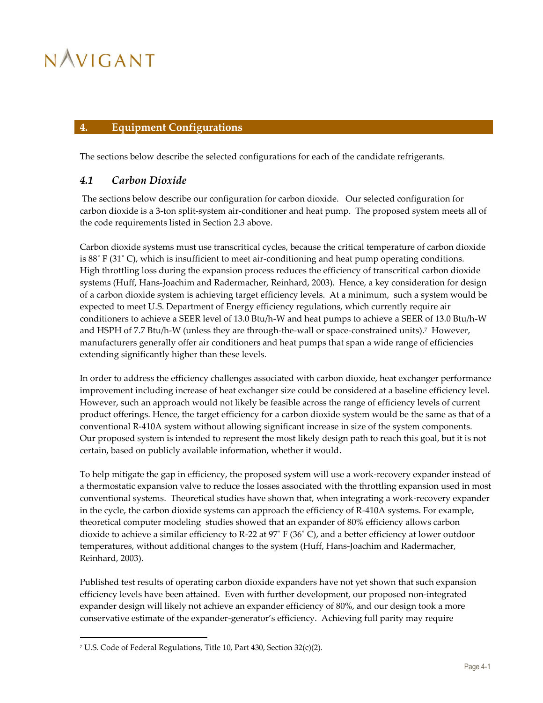### <span id="page-24-0"></span>**4. Equipment Configurations**

<span id="page-24-1"></span>The sections below describe the selected configurations for each of the candidate refrigerants.

### *4.1 Carbon Dioxide*

The sections below describe our configuration for carbon dioxide. Our selected configuration for carbon dioxide is a 3-ton split-system air-conditioner and heat pump. The proposed system meets all of the code requirements listed in Section [2.3](#page-17-0) above.

Carbon dioxide systems must use transcritical cycles, because the critical temperature of carbon dioxide is 88˚ F (31˚ C), which is insufficient to meet air-conditioning and heat pump operating conditions. High throttling loss during the expansion process reduces the efficiency of transcritical carbon dioxide systems (Huff, Hans-Joachim and Radermacher, Reinhard, 2003). Hence, a key consideration for design of a carbon dioxide system is achieving target efficiency levels. At a minimum, such a system would be expected to meet U.S. Department of Energy efficiency regulations, which currently require air conditioners to achieve a SEER level of 13.0 Btu/h-W and heat pumps to achieve a SEER of 13.0 Btu/h-W and HSPH of 7.7 Btu/h-W (unless they are through-the-wall or space-constrained units). 7 However, manufacturers generally offer air conditioners and heat pumps that span a wide range of efficiencies extending significantly higher than these levels.

In order to address the efficiency challenges associated with carbon dioxide, heat exchanger performance improvement including increase of heat exchanger size could be considered at a baseline efficiency level. However, such an approach would not likely be feasible across the range of efficiency levels of current product offerings. Hence, the target efficiency for a carbon dioxide system would be the same as that of a conventional R-410A system without allowing significant increase in size of the system components. Our proposed system is intended to represent the most likely design path to reach this goal, but it is not certain, based on publicly available information, whether it would.

To help mitigate the gap in efficiency, the proposed system will use a work-recovery expander instead of a thermostatic expansion valve to reduce the losses associated with the throttling expansion used in most conventional systems. Theoretical studies have shown that, when integrating a work-recovery expander in the cycle, the carbon dioxide systems can approach the efficiency of R-410A systems. For example, theoretical computer modeling studies showed that an expander of 80% efficiency allows carbon dioxide to achieve a similar efficiency to R-22 at 97˚ F (36˚ C), and a better efficiency at lower outdoor temperatures, without additional changes to the system (Huff, Hans-Joachim and Radermacher, Reinhard, 2003).

Published test results of operating carbon dioxide expanders have not yet shown that such expansion efficiency levels have been attained. Even with further development, our proposed non-integrated expander design will likely not achieve an expander efficiency of 80%, and our design took a more conservative estimate of the expander-generator's efficiency. Achieving full parity may require

 $\overline{a}$ 

<sup>7</sup> U.S. Code of Federal Regulations, Title 10, Part 430, Section 32(c)(2).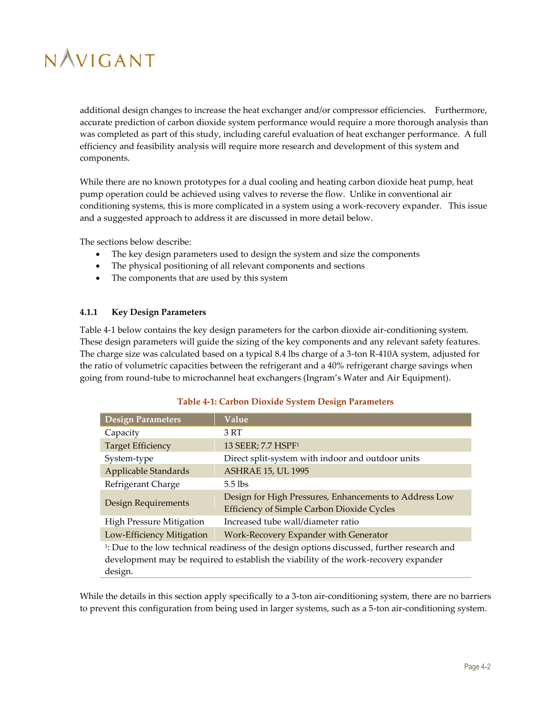additional design changes to increase the heat exchanger and/or compressor efficiencies. Furthermore, accurate prediction of carbon dioxide system performance would require a more thorough analysis than was completed as part of this study, including careful evaluation of heat exchanger performance. A full efficiency and feasibility analysis will require more research and development of this system and components.

While there are no known prototypes for a dual cooling and heating carbon dioxide heat pump, heat pump operation could be achieved using valves to reverse the flow. Unlike in conventional air conditioning systems, this is more complicated in a system using a work-recovery expander. This issue and a suggested approach to address it are discussed in more detail below.

The sections below describe:

- The key design parameters used to design the system and size the components
- The physical positioning of all relevant components and sections
- The components that are used by this system

#### <span id="page-25-0"></span>**4.1.1 Key Design Parameters**

[Table 4-1](#page-25-1) below contains the key design parameters for the carbon dioxide air-conditioning system. These design parameters will guide the sizing of the key components and any relevant safety features. The charge size was calculated based on a typical 8.4 lbs charge of a 3-ton R-410A system, adjusted for the ratio of volumetric capacities between the refrigerant and a 40% refrigerant charge savings when going from round-tube to microchannel heat exchangers (Ingram's Water and Air Equipment).

<span id="page-25-1"></span>

| <b>Design Parameters</b>        | Value                                                                                                   |
|---------------------------------|---------------------------------------------------------------------------------------------------------|
| Capacity                        | 3 RT                                                                                                    |
| <b>Target Efficiency</b>        | 13 SEER; 7.7 HSPF <sup>1</sup>                                                                          |
| System-type                     | Direct split-system with indoor and outdoor units                                                       |
| Applicable Standards            | <b>ASHRAE 15, UL 1995</b>                                                                               |
| Refrigerant Charge              | $5.5$ lbs                                                                                               |
| Design Requirements             | Design for High Pressures, Enhancements to Address Low<br>Efficiency of Simple Carbon Dioxide Cycles    |
| <b>High Pressure Mitigation</b> | Increased tube wall/diameter ratio                                                                      |
| Low-Efficiency Mitigation       | Work-Recovery Expander with Generator                                                                   |
|                                 | <sup>1</sup> : Due to the low technical readiness of the design options discussed, further research and |
|                                 | development may be required to establish the viability of the work-recovery expander                    |
| design.                         |                                                                                                         |

#### **Table 4-1: Carbon Dioxide System Design Parameters**

While the details in this section apply specifically to a 3-ton air-conditioning system, there are no barriers to prevent this configuration from being used in larger systems, such as a 5-ton air-conditioning system.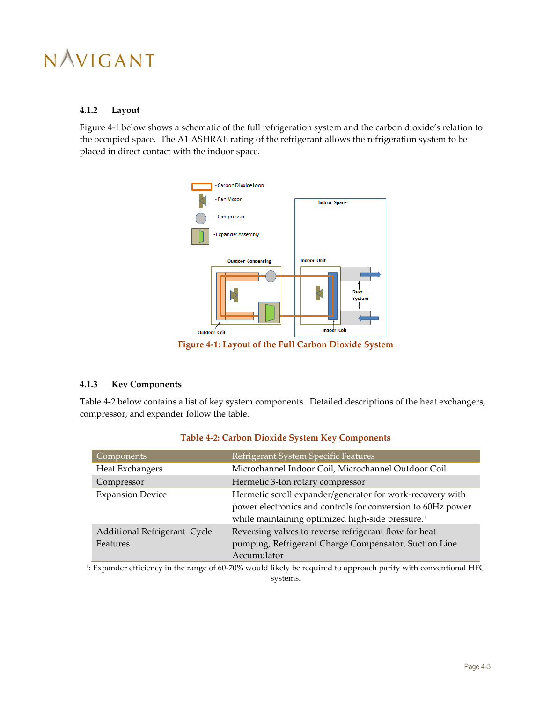

#### <span id="page-26-0"></span>**4.1.2 Layout**

[Figure 4-1](#page-26-2) below shows a schematic of the full refrigeration system and the carbon dioxide's relation to the occupied space. The A1 ASHRAE rating of the refrigerant allows the refrigeration system to be placed in direct contact with the indoor space.



**Figure 4-1: Layout of the Full Carbon Dioxide System**

### <span id="page-26-2"></span><span id="page-26-1"></span>**4.1.3 Key Components**

[Table 4-2](#page-26-3) below contains a list of key system components. Detailed descriptions of the heat exchangers, compressor, and expander follow the table.

<span id="page-26-3"></span>

| Components                               | Refrigerant System Specific Features                                                                                                                                                     |
|------------------------------------------|------------------------------------------------------------------------------------------------------------------------------------------------------------------------------------------|
| Heat Exchangers                          | Microchannel Indoor Coil, Microchannel Outdoor Coil                                                                                                                                      |
| Compressor                               | Hermetic 3-ton rotary compressor                                                                                                                                                         |
| <b>Expansion Device</b>                  | Hermetic scroll expander/generator for work-recovery with<br>power electronics and controls for conversion to 60Hz power<br>while maintaining optimized high-side pressure. <sup>1</sup> |
| Additional Refrigerant Cycle<br>Features | Reversing valves to reverse refrigerant flow for heat<br>pumping, Refrigerant Charge Compensator, Suction Line<br>Accumulator                                                            |

### **Table 4-2: Carbon Dioxide System Key Components**

1 : Expander efficiency in the range of 60-70% would likely be required to approach parity with conventional HFC systems.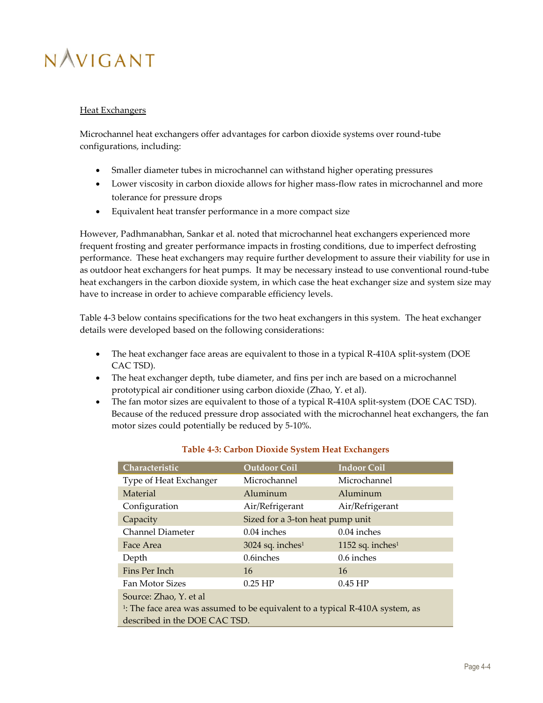### Heat Exchangers

Microchannel heat exchangers offer advantages for carbon dioxide systems over round-tube configurations, including:

- Smaller diameter tubes in microchannel can withstand higher operating pressures
- Lower viscosity in carbon dioxide allows for higher mass-flow rates in microchannel and more tolerance for pressure drops
- Equivalent heat transfer performance in a more compact size

However, Padhmanabhan, Sankar et al. noted that microchannel heat exchangers experienced more frequent frosting and greater performance impacts in frosting conditions, due to imperfect defrosting performance. These heat exchangers may require further development to assure their viability for use in as outdoor heat exchangers for heat pumps. It may be necessary instead to use conventional round-tube heat exchangers in the carbon dioxide system, in which case the heat exchanger size and system size may have to increase in order to achieve comparable efficiency levels.

[Table 4-3](#page-27-0) below contains specifications for the two heat exchangers in this system. The heat exchanger details were developed based on the following considerations:

- The heat exchanger face areas are equivalent to those in a typical R-410A split-system (DOE CAC TSD).
- The heat exchanger depth, tube diameter, and fins per inch are based on a microchannel prototypical air conditioner using carbon dioxide (Zhao, Y. et al).
- The fan motor sizes are equivalent to those of a typical R-410A split-system (DOE CAC TSD). Because of the reduced pressure drop associated with the microchannel heat exchangers, the fan motor sizes could potentially be reduced by 5-10%.

<span id="page-27-0"></span>

| Characteristic                                                                           | <b>Outdoor Coil</b>              | <b>Indoor Coil</b>  |
|------------------------------------------------------------------------------------------|----------------------------------|---------------------|
| Type of Heat Exchanger                                                                   | Microchannel                     | Microchannel        |
| Material                                                                                 | Aluminum                         | Aluminum            |
| Configuration                                                                            | Air/Refrigerant                  | Air/Refrigerant     |
| Capacity                                                                                 | Sized for a 3-ton heat pump unit |                     |
| Channel Diameter                                                                         | $0.04$ inches                    | $0.04$ inches       |
| Face Area                                                                                | $3024$ sq. inches <sup>1</sup>   | 1152 sq. inches $1$ |
| Depth                                                                                    | 0.6inches                        | 0.6 inches          |
| Fins Per Inch                                                                            | 16                               | 16                  |
| Fan Motor Sizes                                                                          | $0.25$ HP                        | $0.45$ HP           |
| Source: Zhao, Y. et al                                                                   |                                  |                     |
| <sup>1</sup> : The face area was assumed to be equivalent to a typical R-410A system, as |                                  |                     |
| described in the DOE CAC TSD.                                                            |                                  |                     |

### **Table 4-3: Carbon Dioxide System Heat Exchangers**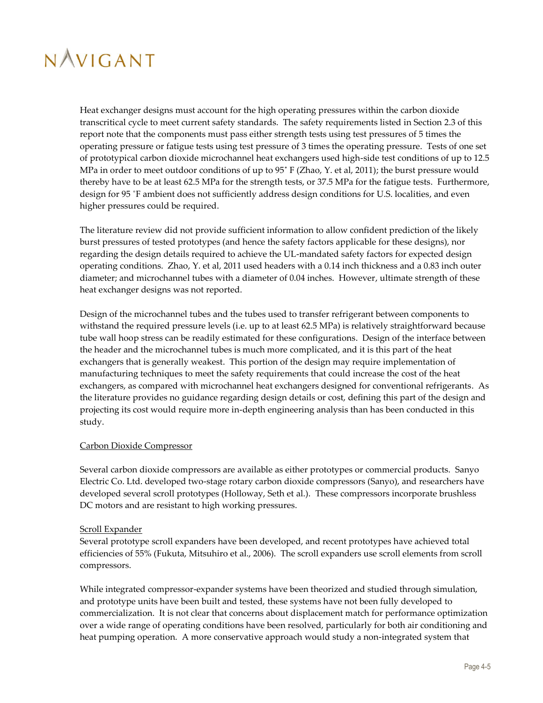Heat exchanger designs must account for the high operating pressures within the carbon dioxide transcritical cycle to meet current safety standards. The safety requirements listed in Section [2.3](#page-17-0) of this report note that the components must pass either strength tests using test pressures of 5 times the operating pressure or fatigue tests using test pressure of 3 times the operating pressure. Tests of one set of prototypical carbon dioxide microchannel heat exchangers used high-side test conditions of up to 12.5 MPa in order to meet outdoor conditions of up to 95˚ F (Zhao, Y. et al, 2011); the burst pressure would thereby have to be at least 62.5 MPa for the strength tests, or 37.5 MPa for the fatigue tests. Furthermore, design for 95 ˚F ambient does not sufficiently address design conditions for U.S. localities, and even higher pressures could be required.

The literature review did not provide sufficient information to allow confident prediction of the likely burst pressures of tested prototypes (and hence the safety factors applicable for these designs), nor regarding the design details required to achieve the UL-mandated safety factors for expected design operating conditions. Zhao, Y. et al, 2011 used headers with a 0.14 inch thickness and a 0.83 inch outer diameter; and microchannel tubes with a diameter of 0.04 inches. However, ultimate strength of these heat exchanger designs was not reported.

Design of the microchannel tubes and the tubes used to transfer refrigerant between components to withstand the required pressure levels (i.e. up to at least 62.5 MPa) is relatively straightforward because tube wall hoop stress can be readily estimated for these configurations. Design of the interface between the header and the microchannel tubes is much more complicated, and it is this part of the heat exchangers that is generally weakest. This portion of the design may require implementation of manufacturing techniques to meet the safety requirements that could increase the cost of the heat exchangers, as compared with microchannel heat exchangers designed for conventional refrigerants. As the literature provides no guidance regarding design details or cost, defining this part of the design and projecting its cost would require more in-depth engineering analysis than has been conducted in this study.

### Carbon Dioxide Compressor

Several carbon dioxide compressors are available as either prototypes or commercial products. Sanyo Electric Co. Ltd. developed two-stage rotary carbon dioxide compressors (Sanyo), and researchers have developed several scroll prototypes (Holloway, Seth et al.). These compressors incorporate brushless DC motors and are resistant to high working pressures.

#### Scroll Expander

Several prototype scroll expanders have been developed, and recent prototypes have achieved total efficiencies of 55% (Fukuta, Mitsuhiro et al., 2006). The scroll expanders use scroll elements from scroll compressors.

While integrated compressor-expander systems have been theorized and studied through simulation, and prototype units have been built and tested, these systems have not been fully developed to commercialization. It is not clear that concerns about displacement match for performance optimization over a wide range of operating conditions have been resolved, particularly for both air conditioning and heat pumping operation. A more conservative approach would study a non-integrated system that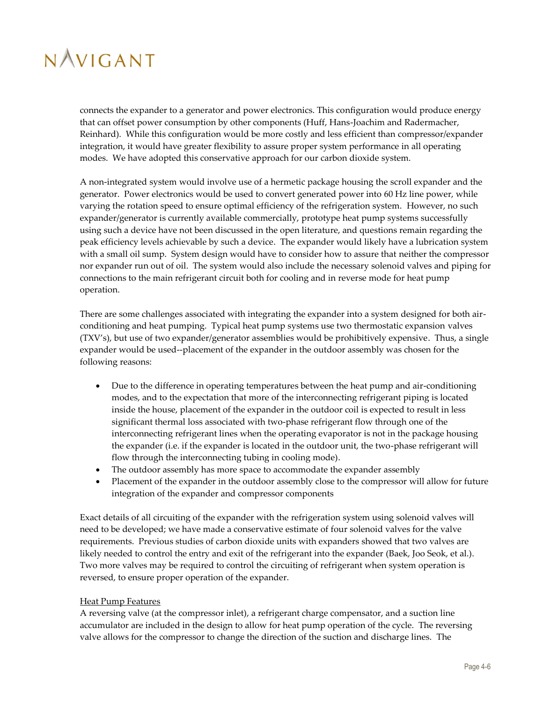connects the expander to a generator and power electronics. This configuration would produce energy that can offset power consumption by other components (Huff, Hans-Joachim and Radermacher, Reinhard). While this configuration would be more costly and less efficient than compressor/expander integration, it would have greater flexibility to assure proper system performance in all operating modes. We have adopted this conservative approach for our carbon dioxide system.

A non-integrated system would involve use of a hermetic package housing the scroll expander and the generator. Power electronics would be used to convert generated power into 60 Hz line power, while varying the rotation speed to ensure optimal efficiency of the refrigeration system. However, no such expander/generator is currently available commercially, prototype heat pump systems successfully using such a device have not been discussed in the open literature, and questions remain regarding the peak efficiency levels achievable by such a device. The expander would likely have a lubrication system with a small oil sump. System design would have to consider how to assure that neither the compressor nor expander run out of oil. The system would also include the necessary solenoid valves and piping for connections to the main refrigerant circuit both for cooling and in reverse mode for heat pump operation.

There are some challenges associated with integrating the expander into a system designed for both airconditioning and heat pumping. Typical heat pump systems use two thermostatic expansion valves (TXV's), but use of two expander/generator assemblies would be prohibitively expensive. Thus, a single expander would be used--placement of the expander in the outdoor assembly was chosen for the following reasons:

- Due to the difference in operating temperatures between the heat pump and air-conditioning modes, and to the expectation that more of the interconnecting refrigerant piping is located inside the house, placement of the expander in the outdoor coil is expected to result in less significant thermal loss associated with two-phase refrigerant flow through one of the interconnecting refrigerant lines when the operating evaporator is not in the package housing the expander (i.e. if the expander is located in the outdoor unit, the two-phase refrigerant will flow through the interconnecting tubing in cooling mode).
- The outdoor assembly has more space to accommodate the expander assembly
- Placement of the expander in the outdoor assembly close to the compressor will allow for future integration of the expander and compressor components

Exact details of all circuiting of the expander with the refrigeration system using solenoid valves will need to be developed; we have made a conservative estimate of four solenoid valves for the valve requirements. Previous studies of carbon dioxide units with expanders showed that two valves are likely needed to control the entry and exit of the refrigerant into the expander (Baek, Joo Seok, et al.). Two more valves may be required to control the circuiting of refrigerant when system operation is reversed, to ensure proper operation of the expander.

#### Heat Pump Features

A reversing valve (at the compressor inlet), a refrigerant charge compensator, and a suction line accumulator are included in the design to allow for heat pump operation of the cycle. The reversing valve allows for the compressor to change the direction of the suction and discharge lines. The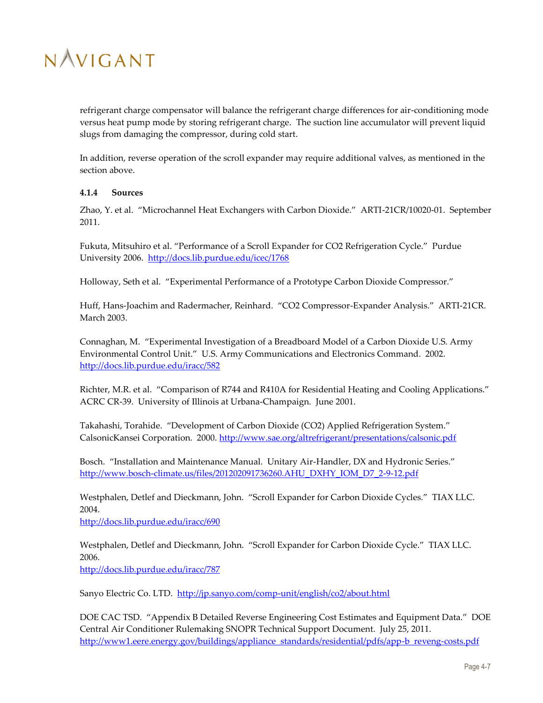

refrigerant charge compensator will balance the refrigerant charge differences for air-conditioning mode versus heat pump mode by storing refrigerant charge. The suction line accumulator will prevent liquid slugs from damaging the compressor, during cold start.

In addition, reverse operation of the scroll expander may require additional valves, as mentioned in the section above.

#### <span id="page-30-0"></span>**4.1.4 Sources**

Zhao, Y. et al. "Microchannel Heat Exchangers with Carbon Dioxide." ARTI-21CR/10020-01. September 2011.

Fukuta, Mitsuhiro et al. "Performance of a Scroll Expander for CO2 Refrigeration Cycle." Purdue University 2006. <http://docs.lib.purdue.edu/icec/1768>

Holloway, Seth et al. "Experimental Performance of a Prototype Carbon Dioxide Compressor."

Huff, Hans-Joachim and Radermacher, Reinhard. "CO2 Compressor-Expander Analysis." ARTI-21CR. March 2003.

Connaghan, M. "Experimental Investigation of a Breadboard Model of a Carbon Dioxide U.S. Army Environmental Control Unit." U.S. Army Communications and Electronics Command. 2002. <http://docs.lib.purdue.edu/iracc/582>

Richter, M.R. et al. "Comparison of R744 and R410A for Residential Heating and Cooling Applications." ACRC CR-39. University of Illinois at Urbana-Champaign. June 2001.

Takahashi, Torahide. "Development of Carbon Dioxide (CO2) Applied Refrigeration System." CalsonicKansei Corporation. 2000.<http://www.sae.org/altrefrigerant/presentations/calsonic.pdf>

Bosch. "Installation and Maintenance Manual. Unitary Air-Handler, DX and Hydronic Series." [http://www.bosch-climate.us/files/201202091736260.AHU\\_DXHY\\_IOM\\_D7\\_2-9-12.pdf](http://www.bosch-climate.us/files/201202091736260.AHU_DXHY_IOM_D7_2-9-12.pdf)

Westphalen, Detlef and Dieckmann, John. "Scroll Expander for Carbon Dioxide Cycles." TIAX LLC. 2004.

<http://docs.lib.purdue.edu/iracc/690>

Westphalen, Detlef and Dieckmann, John. "Scroll Expander for Carbon Dioxide Cycle." TIAX LLC. 2006. <http://docs.lib.purdue.edu/iracc/787>

Sanyo Electric Co. LTD. <http://jp.sanyo.com/comp-unit/english/co2/about.html>

DOE CAC TSD. "Appendix B Detailed Reverse Engineering Cost Estimates and Equipment Data." DOE Central Air Conditioner Rulemaking SNOPR Technical Support Document. July 25, 2011. [http://www1.eere.energy.gov/buildings/appliance\\_standards/residential/pdfs/app-b\\_reveng-costs.pdf](http://www1.eere.energy.gov/buildings/appliance_standards/residential/pdfs/app-b_reveng-costs.pdf)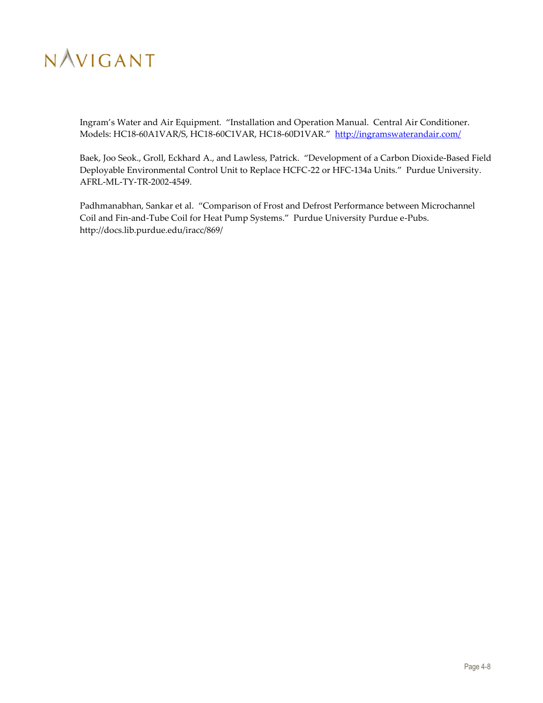

Ingram's Water and Air Equipment. "Installation and Operation Manual. Central Air Conditioner. Models: HC18-60A1VAR/S, HC18-60C1VAR, HC18-60D1VAR." <http://ingramswaterandair.com/>

Baek, Joo Seok., Groll, Eckhard A., and Lawless, Patrick. "Development of a Carbon Dioxide-Based Field Deployable Environmental Control Unit to Replace HCFC-22 or HFC-134a Units." Purdue University. AFRL-ML-TY-TR-2002-4549.

Padhmanabhan, Sankar et al. "Comparison of Frost and Defrost Performance between Microchannel Coil and Fin-and-Tube Coil for Heat Pump Systems." Purdue University Purdue e-Pubs. http://docs.lib.purdue.edu/iracc/869/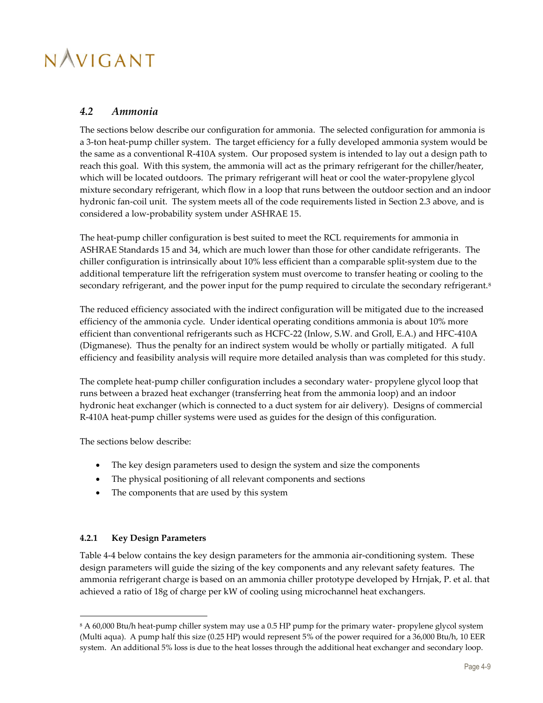### <span id="page-32-0"></span>*4.2 Ammonia*

The sections below describe our configuration for ammonia. The selected configuration for ammonia is a 3-ton heat-pump chiller system. The target efficiency for a fully developed ammonia system would be the same as a conventional R-410A system. Our proposed system is intended to lay out a design path to reach this goal. With this system, the ammonia will act as the primary refrigerant for the chiller/heater, which will be located outdoors. The primary refrigerant will heat or cool the water-propylene glycol mixture secondary refrigerant, which flow in a loop that runs between the outdoor section and an indoor hydronic fan-coil unit. The system meets all of the code requirements listed in Section [2.3](#page-17-0) above, and is considered a low-probability system under ASHRAE 15.

The heat-pump chiller configuration is best suited to meet the RCL requirements for ammonia in ASHRAE Standards 15 and 34, which are much lower than those for other candidate refrigerants. The chiller configuration is intrinsically about 10% less efficient than a comparable split-system due to the additional temperature lift the refrigeration system must overcome to transfer heating or cooling to the secondary refrigerant, and the power input for the pump required to circulate the secondary refrigerant.<sup>8</sup>

The reduced efficiency associated with the indirect configuration will be mitigated due to the increased efficiency of the ammonia cycle. Under identical operating conditions ammonia is about 10% more efficient than conventional refrigerants such as HCFC-22 (Inlow, S.W. and Groll, E.A.) and HFC-410A (Digmanese). Thus the penalty for an indirect system would be wholly or partially mitigated. A full efficiency and feasibility analysis will require more detailed analysis than was completed for this study.

The complete heat-pump chiller configuration includes a secondary water- propylene glycol loop that runs between a brazed heat exchanger (transferring heat from the ammonia loop) and an indoor hydronic heat exchanger (which is connected to a duct system for air delivery). Designs of commercial R-410A heat-pump chiller systems were used as guides for the design of this configuration.

The sections below describe:

- The key design parameters used to design the system and size the components
- The physical positioning of all relevant components and sections
- The components that are used by this system

### <span id="page-32-1"></span>**4.2.1 Key Design Parameters**

1

[Table 4-4](#page-33-2) below contains the key design parameters for the ammonia air-conditioning system. These design parameters will guide the sizing of the key components and any relevant safety features. The ammonia refrigerant charge is based on an ammonia chiller prototype developed by Hrnjak, P. et al. that achieved a ratio of 18g of charge per kW of cooling using microchannel heat exchangers.

<sup>8</sup> A 60,000 Btu/h heat-pump chiller system may use a 0.5 HP pump for the primary water- propylene glycol system (Multi aqua). A pump half this size (0.25 HP) would represent 5% of the power required for a 36,000 Btu/h, 10 EER system. An additional 5% loss is due to the heat losses through the additional heat exchanger and secondary loop.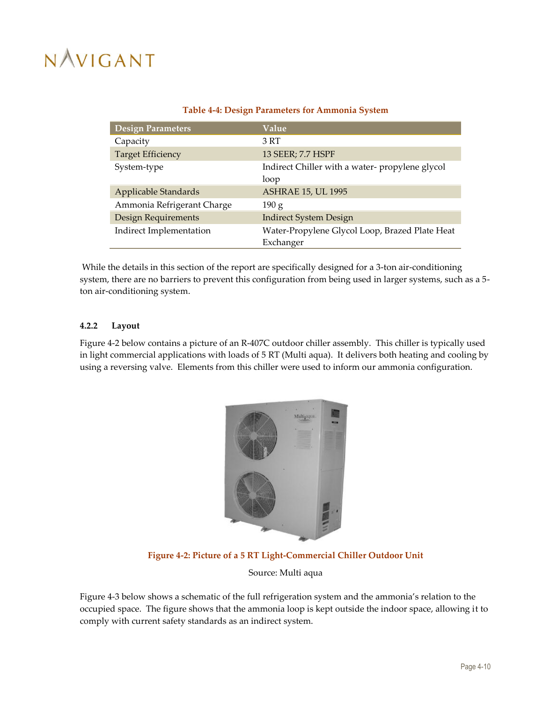<span id="page-33-2"></span>

| <b>Design Parameters</b>   | Value                                          |
|----------------------------|------------------------------------------------|
| Capacity                   | 3 RT                                           |
| <b>Target Efficiency</b>   | 13 SEER; 7.7 HSPF                              |
| System-type                | Indirect Chiller with a water-propylene glycol |
|                            | loop                                           |
| Applicable Standards       | <b>ASHRAE 15, UL 1995</b>                      |
| Ammonia Refrigerant Charge | 190 g                                          |
| Design Requirements        | <b>Indirect System Design</b>                  |
| Indirect Implementation    | Water-Propylene Glycol Loop, Brazed Plate Heat |
|                            | Exchanger                                      |

#### **Table 4-4: Design Parameters for Ammonia System**

While the details in this section of the report are specifically designed for a 3-ton air-conditioning system, there are no barriers to prevent this configuration from being used in larger systems, such as a 5 ton air-conditioning system.

#### <span id="page-33-0"></span>**4.2.2 Layout**

[Figure 4-2](#page-33-1) below contains a picture of an R-407C outdoor chiller assembly. This chiller is typically used in light commercial applications with loads of 5 RT (Multi aqua). It delivers both heating and cooling by using a reversing valve. Elements from this chiller were used to inform our ammonia configuration.



#### **Figure 4-2: Picture of a 5 RT Light-Commercial Chiller Outdoor Unit**

Source: Multi aqua

<span id="page-33-1"></span>[Figure 4-3](#page-34-1) below shows a schematic of the full refrigeration system and the ammonia's relation to the occupied space. The figure shows that the ammonia loop is kept outside the indoor space, allowing it to comply with current safety standards as an indirect system.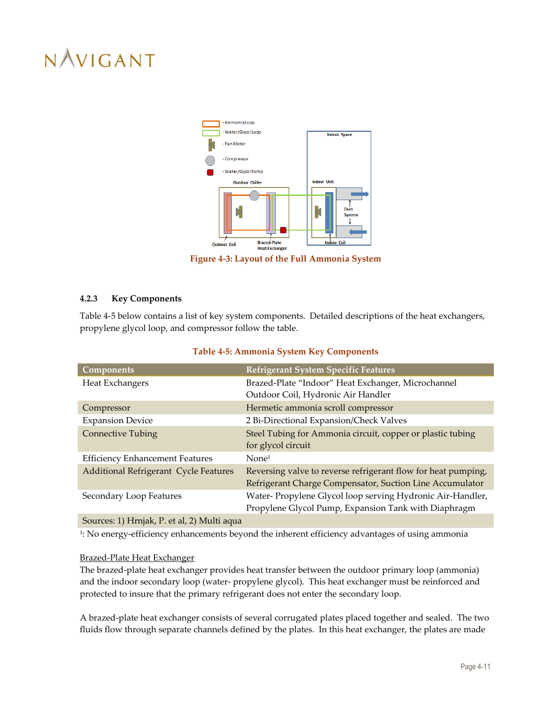

**Figure 4-3: Layout of the Full Ammonia System**

### <span id="page-34-1"></span><span id="page-34-0"></span>**4.2.3 Key Components**

[Table 4-5](#page-34-2) below contains a list of key system components. Detailed descriptions of the heat exchangers, propylene glycol loop, and compressor follow the table.

<span id="page-34-2"></span>

| <b>Components</b>                            | Refrigerant System Specific Features                          |
|----------------------------------------------|---------------------------------------------------------------|
| Heat Exchangers                              | Brazed-Plate "Indoor" Heat Exchanger, Microchannel            |
|                                              | Outdoor Coil, Hydronic Air Handler                            |
| Compressor                                   | Hermetic ammonia scroll compressor                            |
| <b>Expansion Device</b>                      | 2 Bi-Directional Expansion/Check Valves                       |
| <b>Connective Tubing</b>                     | Steel Tubing for Ammonia circuit, copper or plastic tubing    |
|                                              | for glycol circuit                                            |
| <b>Efficiency Enhancement Features</b>       | None <sup>1</sup>                                             |
| <b>Additional Refrigerant Cycle Features</b> | Reversing valve to reverse refrigerant flow for heat pumping, |
|                                              | Refrigerant Charge Compensator, Suction Line Accumulator      |
| Secondary Loop Features                      | Water- Propylene Glycol loop serving Hydronic Air-Handler,    |
|                                              | Propylene Glycol Pump, Expansion Tank with Diaphragm          |
| Sources: 1) Hrnjak, P. et al, 2) Multi aqua  |                                                               |

#### **Table 4-5: Ammonia System Key Components**

1 : No energy-efficiency enhancements beyond the inherent efficiency advantages of using ammonia

#### Brazed-Plate Heat Exchanger

The brazed-plate heat exchanger provides heat transfer between the outdoor primary loop (ammonia) and the indoor secondary loop (water- propylene glycol). This heat exchanger must be reinforced and protected to insure that the primary refrigerant does not enter the secondary loop.

A brazed-plate heat exchanger consists of several corrugated plates placed together and sealed. The two fluids flow through separate channels defined by the plates. In this heat exchanger, the plates are made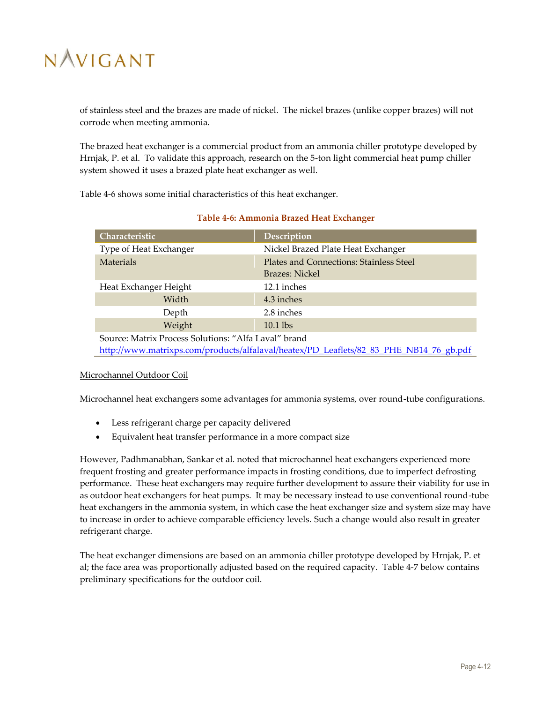of stainless steel and the brazes are made of nickel. The nickel brazes (unlike copper brazes) will not corrode when meeting ammonia.

The brazed heat exchanger is a commercial product from an ammonia chiller prototype developed by Hrnjak, P. et al. To validate this approach, research on the 5-ton light commercial heat pump chiller system showed it uses a brazed plate heat exchanger as well.

[Table 4-6](#page-35-0) shows some initial characteristics of this heat exchanger.

<span id="page-35-0"></span>

| Characteristic                                       | Description                                                                            |
|------------------------------------------------------|----------------------------------------------------------------------------------------|
| Type of Heat Exchanger                               | Nickel Brazed Plate Heat Exchanger                                                     |
| Materials                                            | Plates and Connections: Stainless Steel                                                |
|                                                      | Brazes: Nickel                                                                         |
| Heat Exchanger Height                                | 12.1 inches                                                                            |
| Width                                                | 4.3 inches                                                                             |
| Depth                                                | 2.8 inches                                                                             |
| Weight                                               | $10.1$ lbs                                                                             |
| Source: Matrix Process Solutions: "Alfa Laval" brand |                                                                                        |
|                                                      | http://www.matrixps.com/products/alfalaval/heatex/PD Leaflets/82 83 PHE NB14 76 gb.pdf |

### **Table 4-6: Ammonia Brazed Heat Exchanger**

### Microchannel Outdoor Coil

Microchannel heat exchangers some advantages for ammonia systems, over round-tube configurations.

- Less refrigerant charge per capacity delivered
- Equivalent heat transfer performance in a more compact size

However, Padhmanabhan, Sankar et al. noted that microchannel heat exchangers experienced more frequent frosting and greater performance impacts in frosting conditions, due to imperfect defrosting performance. These heat exchangers may require further development to assure their viability for use in as outdoor heat exchangers for heat pumps. It may be necessary instead to use conventional round-tube heat exchangers in the ammonia system, in which case the heat exchanger size and system size may have to increase in order to achieve comparable efficiency levels. Such a change would also result in greater refrigerant charge.

The heat exchanger dimensions are based on an ammonia chiller prototype developed by Hrnjak, P. et al; the face area was proportionally adjusted based on the required capacity. [Table 4-7](#page-36-0) below contains preliminary specifications for the outdoor coil.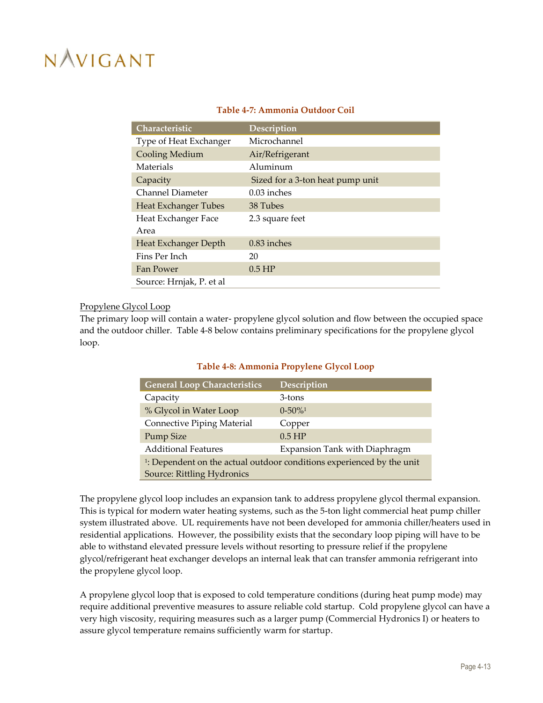<span id="page-36-0"></span>

| Characteristic              | Description                      |
|-----------------------------|----------------------------------|
| Type of Heat Exchanger      | Microchannel                     |
| <b>Cooling Medium</b>       | Air/Refrigerant                  |
| Materials                   | Aluminum                         |
| Capacity                    | Sized for a 3-ton heat pump unit |
| Channel Diameter            | $0.03$ inches                    |
| <b>Heat Exchanger Tubes</b> | 38 Tubes                         |
| Heat Exchanger Face         | 2.3 square feet                  |
| Area                        |                                  |
| Heat Exchanger Depth        | $0.83$ inches                    |
| Fins Per Inch               | 20                               |
| Fan Power                   | $0.5$ HP                         |
| Source: Hrnjak, P. et al    |                                  |

### **Table 4-7: Ammonia Outdoor Coil**

#### Propylene Glycol Loop

<span id="page-36-1"></span>The primary loop will contain a water- propylene glycol solution and flow between the occupied space and the outdoor chiller. [Table 4-8](#page-36-1) below contains preliminary specifications for the propylene glycol loop.

| <b>General Loop Characteristics</b> | Description                                                                       |
|-------------------------------------|-----------------------------------------------------------------------------------|
| Capacity                            | 3-tons                                                                            |
| % Glycol in Water Loop              | $0 - 50\%$ <sup>1</sup>                                                           |
| Connective Piping Material          | Copper                                                                            |
| <b>Pump Size</b>                    | $0.5$ HP                                                                          |
| <b>Additional Features</b>          | Expansion Tank with Diaphragm                                                     |
|                                     | <sup>1</sup> : Dependent on the actual outdoor conditions experienced by the unit |
| Source: Rittling Hydronics          |                                                                                   |

### **Table 4-8: Ammonia Propylene Glycol Loop**

The propylene glycol loop includes an expansion tank to address propylene glycol thermal expansion. This is typical for modern water heating systems, such as the 5-ton light commercial heat pump chiller system illustrated above. UL requirements have not been developed for ammonia chiller/heaters used in residential applications. However, the possibility exists that the secondary loop piping will have to be able to withstand elevated pressure levels without resorting to pressure relief if the propylene glycol/refrigerant heat exchanger develops an internal leak that can transfer ammonia refrigerant into the propylene glycol loop.

A propylene glycol loop that is exposed to cold temperature conditions (during heat pump mode) may require additional preventive measures to assure reliable cold startup. Cold propylene glycol can have a very high viscosity, requiring measures such as a larger pump (Commercial Hydronics I) or heaters to assure glycol temperature remains sufficiently warm for startup.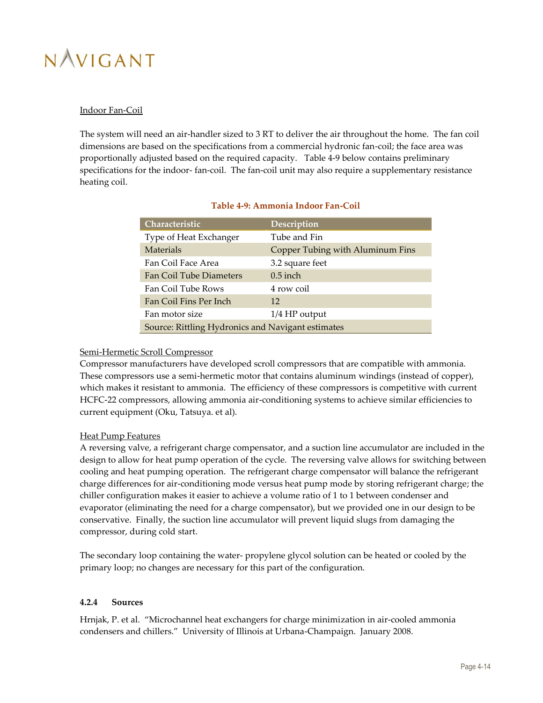### Indoor Fan-Coil

The system will need an air-handler sized to 3 RT to deliver the air throughout the home. The fan coil dimensions are based on the specifications from a commercial hydronic fan-coil; the face area was proportionally adjusted based on the required capacity. [Table 4-9](#page-37-1) below contains preliminary specifications for the indoor- fan-coil. The fan-coil unit may also require a supplementary resistance heating coil.

<span id="page-37-1"></span>

| Characteristic                                    | Description                      |  |
|---------------------------------------------------|----------------------------------|--|
| Type of Heat Exchanger                            | Tube and Fin                     |  |
| <b>Materials</b>                                  | Copper Tubing with Aluminum Fins |  |
| Fan Coil Face Area                                | 3.2 square feet                  |  |
| <b>Fan Coil Tube Diameters</b>                    | $0.5$ inch                       |  |
| Fan Coil Tube Rows                                | 4 row coil                       |  |
| Fan Coil Fins Per Inch                            | 12                               |  |
| Fan motor size                                    | $1/4$ HP output                  |  |
| Source: Rittling Hydronics and Navigant estimates |                                  |  |

### **Table 4-9: Ammonia Indoor Fan-Coil**

### Semi-Hermetic Scroll Compressor

Compressor manufacturers have developed scroll compressors that are compatible with ammonia. These compressors use a semi-hermetic motor that contains aluminum windings (instead of copper), which makes it resistant to ammonia. The efficiency of these compressors is competitive with current HCFC-22 compressors, allowing ammonia air-conditioning systems to achieve similar efficiencies to current equipment (Oku, Tatsuya. et al).

### Heat Pump Features

A reversing valve, a refrigerant charge compensator, and a suction line accumulator are included in the design to allow for heat pump operation of the cycle. The reversing valve allows for switching between cooling and heat pumping operation. The refrigerant charge compensator will balance the refrigerant charge differences for air-conditioning mode versus heat pump mode by storing refrigerant charge; the chiller configuration makes it easier to achieve a volume ratio of 1 to 1 between condenser and evaporator (eliminating the need for a charge compensator), but we provided one in our design to be conservative. Finally, the suction line accumulator will prevent liquid slugs from damaging the compressor, during cold start.

The secondary loop containing the water- propylene glycol solution can be heated or cooled by the primary loop; no changes are necessary for this part of the configuration.

### <span id="page-37-0"></span>**4.2.4 Sources**

Hrnjak, P. et al. "Microchannel heat exchangers for charge minimization in air-cooled ammonia condensers and chillers." University of Illinois at Urbana-Champaign. January 2008.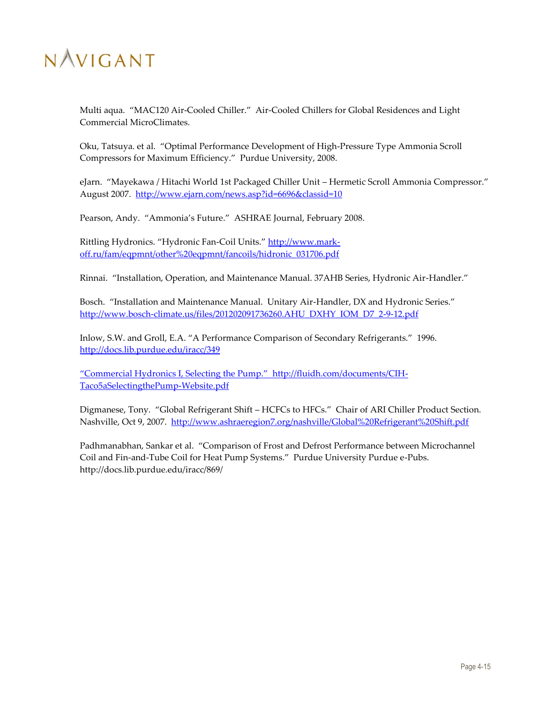

Multi aqua. "MAC120 Air-Cooled Chiller." Air-Cooled Chillers for Global Residences and Light Commercial MicroClimates.

Oku, Tatsuya. et al. "Optimal Performance Development of High-Pressure Type Ammonia Scroll Compressors for Maximum Efficiency." Purdue University, 2008.

eJarn. "Mayekawa / Hitachi World 1st Packaged Chiller Unit – Hermetic Scroll Ammonia Compressor." August 2007. <http://www.ejarn.com/news.asp?id=6696&classid=10>

Pearson, Andy. "Ammonia's Future." ASHRAE Journal, February 2008.

Rittling Hydronics. "Hydronic Fan-Coil Units." [http://www.mark](http://www.mark-off.ru/fam/eqpmnt/other%20eqpmnt/fancoils/hidronic_031706.pdf)[off.ru/fam/eqpmnt/other%20eqpmnt/fancoils/hidronic\\_031706.pdf](http://www.mark-off.ru/fam/eqpmnt/other%20eqpmnt/fancoils/hidronic_031706.pdf)

Rinnai. "Installation, Operation, and Maintenance Manual. 37AHB Series, Hydronic Air-Handler."

Bosch. "Installation and Maintenance Manual. Unitary Air-Handler, DX and Hydronic Series." [http://www.bosch-climate.us/files/201202091736260.AHU\\_DXHY\\_IOM\\_D7\\_2-9-12.pdf](http://www.bosch-climate.us/files/201202091736260.AHU_DXHY_IOM_D7_2-9-12.pdf)

Inlow, S.W. and Groll, E.A. "A Performance Comparison of Secondary Refrigerants." 1996. <http://docs.lib.purdue.edu/iracc/349>

"Commercial Hydronics I, Selecting the Pump." [http://fluidh.com/documents/CIH-](http://fluidh.com/documents/CIH-Taco5aSelectingthePump-Website.pdf)[Taco5aSelectingthePump-Website.pdf](http://fluidh.com/documents/CIH-Taco5aSelectingthePump-Website.pdf)

Digmanese, Tony. "Global Refrigerant Shift – HCFCs to HFCs." Chair of ARI Chiller Product Section. Nashville, Oct 9, 2007. <http://www.ashraeregion7.org/nashville/Global%20Refrigerant%20Shift.pdf>

Padhmanabhan, Sankar et al. "Comparison of Frost and Defrost Performance between Microchannel Coil and Fin-and-Tube Coil for Heat Pump Systems." Purdue University Purdue e-Pubs. http://docs.lib.purdue.edu/iracc/869/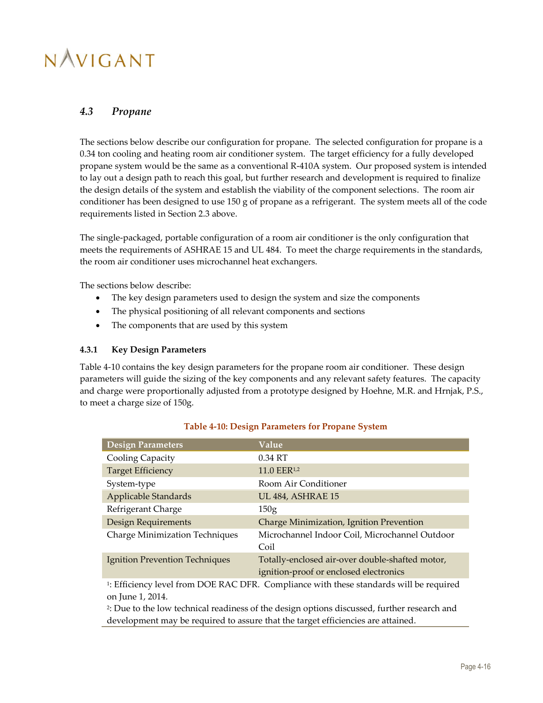### <span id="page-39-0"></span>*4.3 Propane*

The sections below describe our configuration for propane. The selected configuration for propane is a 0.34 ton cooling and heating room air conditioner system. The target efficiency for a fully developed propane system would be the same as a conventional R-410A system. Our proposed system is intended to lay out a design path to reach this goal, but further research and development is required to finalize the design details of the system and establish the viability of the component selections. The room air conditioner has been designed to use 150 g of propane as a refrigerant. The system meets all of the code requirements listed in Section [2.3](#page-17-0) above.

The single-packaged, portable configuration of a room air conditioner is the only configuration that meets the requirements of ASHRAE 15 and UL 484. To meet the charge requirements in the standards, the room air conditioner uses microchannel heat exchangers.

The sections below describe:

- The key design parameters used to design the system and size the components
- The physical positioning of all relevant components and sections
- The components that are used by this system

#### <span id="page-39-1"></span>**4.3.1 Key Design Parameters**

[Table 4-10](#page-39-2) contains the key design parameters for the propane room air conditioner. These design parameters will guide the sizing of the key components and any relevant safety features. The capacity and charge were proportionally adjusted from a prototype designed by Hoehne, M.R. and Hrnjak, P.S., to meet a charge size of 150g.

<span id="page-39-2"></span>

| <b>Design Parameters</b>              | Value                                                                                              |
|---------------------------------------|----------------------------------------------------------------------------------------------------|
| Cooling Capacity                      | 0.34 RT                                                                                            |
| <b>Target Efficiency</b>              | 11.0 EER <sup>1,2</sup>                                                                            |
| System-type                           | Room Air Conditioner                                                                               |
| Applicable Standards                  | <b>UL 484, ASHRAE 15</b>                                                                           |
| Refrigerant Charge                    | 150 <sub>g</sub>                                                                                   |
| Design Requirements                   | Charge Minimization, Ignition Prevention                                                           |
| <b>Charge Minimization Techniques</b> | Microchannel Indoor Coil, Microchannel Outdoor<br>Coil                                             |
| Ignition Prevention Techniques        | Totally-enclosed air-over double-shafted motor,<br>ignition-proof or enclosed electronics          |
| on June 1, 2014.                      | <sup>1</sup> : Efficiency level from DOE RAC DFR. Compliance with these standards will be required |

### **Table 4-10: Design Parameters for Propane System**

2 : Due to the low technical readiness of the design options discussed, further research and

development may be required to assure that the target efficiencies are attained.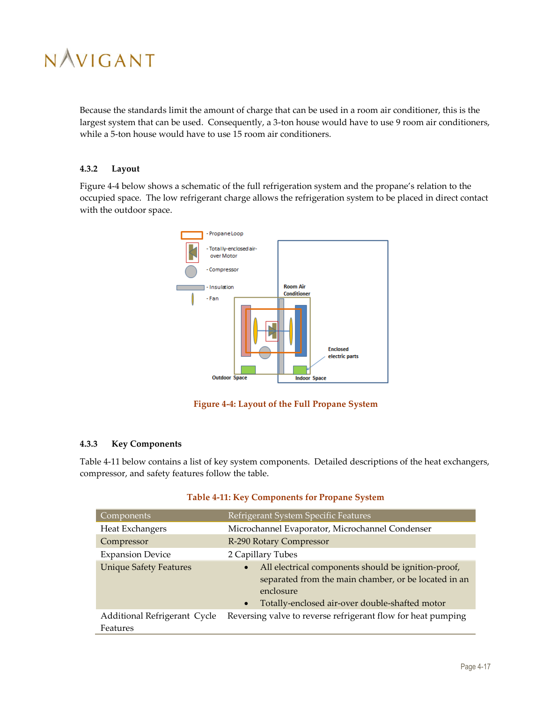

Because the standards limit the amount of charge that can be used in a room air conditioner, this is the largest system that can be used. Consequently, a 3-ton house would have to use 9 room air conditioners, while a 5-ton house would have to use 15 room air conditioners.

### <span id="page-40-0"></span>**4.3.2 Layout**

[Figure 4-4](#page-40-2) below shows a schematic of the full refrigeration system and the propane's relation to the occupied space. The low refrigerant charge allows the refrigeration system to be placed in direct contact with the outdoor space.



**Figure 4-4: Layout of the Full Propane System**

### <span id="page-40-2"></span><span id="page-40-1"></span>**4.3.3 Key Components**

[Table 4-11](#page-40-3) below contains a list of key system components. Detailed descriptions of the heat exchangers, compressor, and safety features follow the table.

<span id="page-40-3"></span>

| Components <sup>'</sup>                  | Refrigerant System Specific Features                                                                                                                                                                 |  |  |
|------------------------------------------|------------------------------------------------------------------------------------------------------------------------------------------------------------------------------------------------------|--|--|
| Heat Exchangers                          | Microchannel Evaporator, Microchannel Condenser                                                                                                                                                      |  |  |
| Compressor                               | R-290 Rotary Compressor                                                                                                                                                                              |  |  |
| <b>Expansion Device</b>                  | 2 Capillary Tubes                                                                                                                                                                                    |  |  |
| <b>Unique Safety Features</b>            | All electrical components should be ignition-proof,<br>$\bullet$<br>separated from the main chamber, or be located in an<br>enclosure<br>Totally-enclosed air-over double-shafted motor<br>$\bullet$ |  |  |
| Additional Refrigerant Cycle<br>Features | Reversing valve to reverse refrigerant flow for heat pumping                                                                                                                                         |  |  |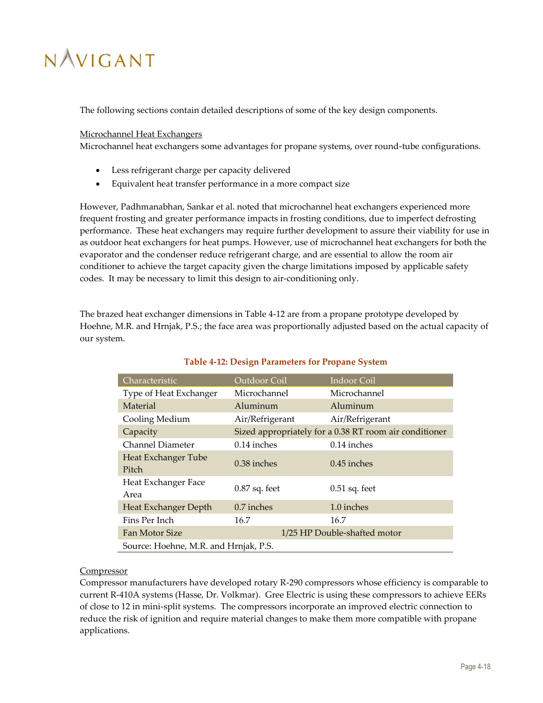The following sections contain detailed descriptions of some of the key design components.

Microchannel Heat Exchangers

Microchannel heat exchangers some advantages for propane systems, over round-tube configurations.

- Less refrigerant charge per capacity delivered
- Equivalent heat transfer performance in a more compact size

However, Padhmanabhan, Sankar et al. noted that microchannel heat exchangers experienced more frequent frosting and greater performance impacts in frosting conditions, due to imperfect defrosting performance. These heat exchangers may require further development to assure their viability for use in as outdoor heat exchangers for heat pumps. However, use of microchannel heat exchangers for both the evaporator and the condenser reduce refrigerant charge, and are essential to allow the room air conditioner to achieve the target capacity given the charge limitations imposed by applicable safety codes. It may be necessary to limit this design to air-conditioning only.

The brazed heat exchanger dimensions in [Table 4-12](#page-41-0) are from a propane prototype developed by Hoehne, M.R. and Hrnjak, P.S.; the face area was proportionally adjusted based on the actual capacity of our system.

<span id="page-41-0"></span>

| Characteristic                        | Outdoor Coil                                           | Indoor Coil     |  |
|---------------------------------------|--------------------------------------------------------|-----------------|--|
| Type of Heat Exchanger                | Microchannel                                           | Microchannel    |  |
| Material                              | Aluminum                                               | Aluminum        |  |
| Cooling Medium                        | Air/Refrigerant                                        | Air/Refrigerant |  |
| Capacity                              | Sized appropriately for a 0.38 RT room air conditioner |                 |  |
| Channel Diameter                      | $0.14$ inches                                          | $0.14$ inches   |  |
| <b>Heat Exchanger Tube</b><br>Pitch   | $0.38$ inches                                          | $0.45$ inches   |  |
| Heat Exchanger Face<br>Area           | $0.87$ sq. feet                                        | $0.51$ sq. feet |  |
| Heat Exchanger Depth                  | $0.7$ inches                                           | 1.0 inches      |  |
| Fins Per Inch                         | 16.7                                                   | 16.7            |  |
| Fan Motor Size                        | 1/25 HP Double-shafted motor                           |                 |  |
| Source: Hoehne, M.R. and Hrnjak, P.S. |                                                        |                 |  |

### **Table 4-12: Design Parameters for Propane System**

### **Compressor**

Compressor manufacturers have developed rotary R-290 compressors whose efficiency is comparable to current R-410A systems (Hasse, Dr. Volkmar). Gree Electric is using these compressors to achieve EERs of close to 12 in mini-split systems. The compressors incorporate an improved electric connection to reduce the risk of ignition and require material changes to make them more compatible with propane applications.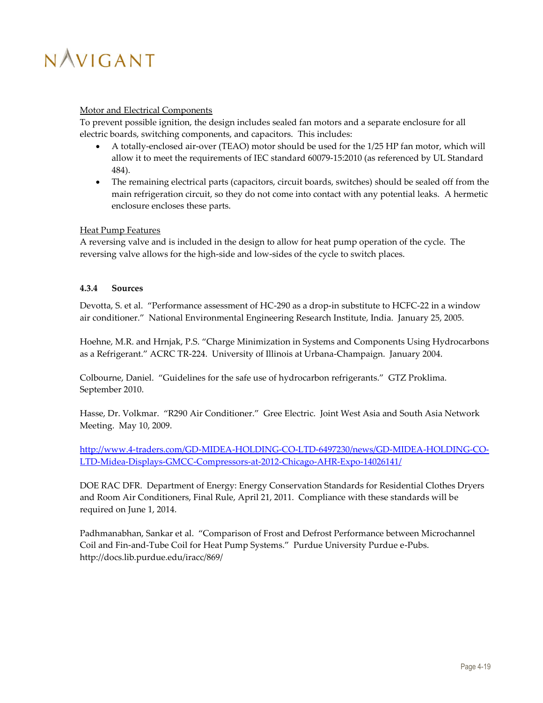### Motor and Electrical Components

To prevent possible ignition, the design includes sealed fan motors and a separate enclosure for all electric boards, switching components, and capacitors. This includes:

- A totally-enclosed air-over (TEAO) motor should be used for the 1/25 HP fan motor, which will allow it to meet the requirements of IEC standard 60079-15:2010 (as referenced by UL Standard 484).
- The remaining electrical parts (capacitors, circuit boards, switches) should be sealed off from the main refrigeration circuit, so they do not come into contact with any potential leaks. A hermetic enclosure encloses these parts.

### Heat Pump Features

A reversing valve and is included in the design to allow for heat pump operation of the cycle. The reversing valve allows for the high-side and low-sides of the cycle to switch places.

### <span id="page-42-0"></span>**4.3.4 Sources**

Devotta, S. et al. "Performance assessment of HC-290 as a drop-in substitute to HCFC-22 in a window air conditioner." National Environmental Engineering Research Institute, India. January 25, 2005.

Hoehne, M.R. and Hrnjak, P.S. "Charge Minimization in Systems and Components Using Hydrocarbons as a Refrigerant." ACRC TR-224. University of Illinois at Urbana-Champaign. January 2004.

Colbourne, Daniel. "Guidelines for the safe use of hydrocarbon refrigerants." GTZ Proklima. September 2010.

Hasse, Dr. Volkmar. "R290 Air Conditioner." Gree Electric. Joint West Asia and South Asia Network Meeting. May 10, 2009.

[http://www.4-traders.com/GD-MIDEA-HOLDING-CO-LTD-6497230/news/GD-MIDEA-HOLDING-CO-](http://www.4-traders.com/GD-MIDEA-HOLDING-CO-LTD-6497230/news/GD-MIDEA-HOLDING-CO-LTD-Midea-Displays-GMCC-Compressors-at-2012-Chicago-AHR-Expo-14026141/)[LTD-Midea-Displays-GMCC-Compressors-at-2012-Chicago-AHR-Expo-14026141/](http://www.4-traders.com/GD-MIDEA-HOLDING-CO-LTD-6497230/news/GD-MIDEA-HOLDING-CO-LTD-Midea-Displays-GMCC-Compressors-at-2012-Chicago-AHR-Expo-14026141/)

DOE RAC DFR. Department of Energy: Energy Conservation Standards for Residential Clothes Dryers and Room Air Conditioners, Final Rule, April 21, 2011. Compliance with these standards will be required on June 1, 2014.

Padhmanabhan, Sankar et al. "Comparison of Frost and Defrost Performance between Microchannel Coil and Fin-and-Tube Coil for Heat Pump Systems." Purdue University Purdue e-Pubs. http://docs.lib.purdue.edu/iracc/869/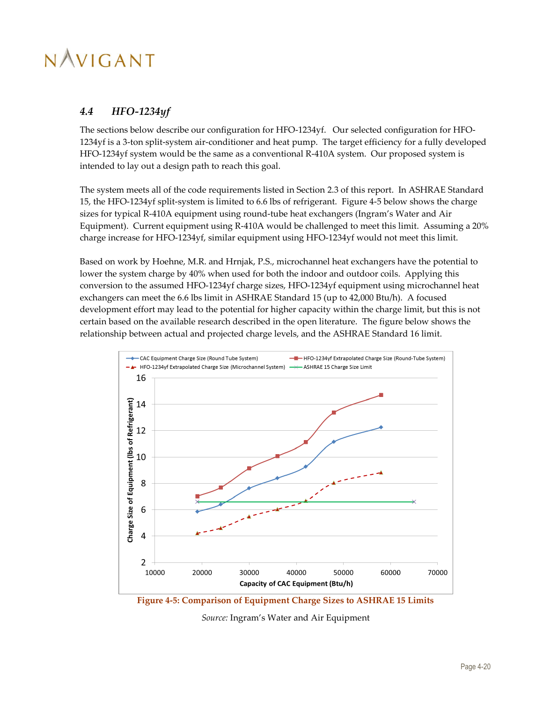### <span id="page-43-0"></span>*4.4 HFO-1234yf*

The sections below describe our configuration for HFO-1234yf. Our selected configuration for HFO-1234yf is a 3-ton split-system air-conditioner and heat pump. The target efficiency for a fully developed HFO-1234yf system would be the same as a conventional R-410A system. Our proposed system is intended to lay out a design path to reach this goal.

The system meets all of the code requirements listed in Section [2.3](#page-17-0) of this report. In ASHRAE Standard 15, the HFO-1234yf split-system is limited to 6.6 lbs of refrigerant. [Figure 4-5](#page-43-1) below shows the charge sizes for typical R-410A equipment using round-tube heat exchangers (Ingram's Water and Air Equipment). Current equipment using R-410A would be challenged to meet this limit. Assuming a 20% charge increase for HFO-1234yf, similar equipment using HFO-1234yf would not meet this limit.

Based on work by Hoehne, M.R. and Hrnjak, P.S., microchannel heat exchangers have the potential to lower the system charge by 40% when used for both the indoor and outdoor coils. Applying this conversion to the assumed HFO-1234yf charge sizes, HFO-1234yf equipment using microchannel heat exchangers can meet the 6.6 lbs limit in ASHRAE Standard 15 (up to 42,000 Btu/h). A focused development effort may lead to the potential for higher capacity within the charge limit, but this is not certain based on the available research described in the open literature. The figure below shows the relationship between actual and projected charge levels, and the ASHRAE Standard 16 limit.



<span id="page-43-1"></span>**Figure 4-5: Comparison of Equipment Charge Sizes to ASHRAE 15 Limits**

*Source:* Ingram's Water and Air Equipment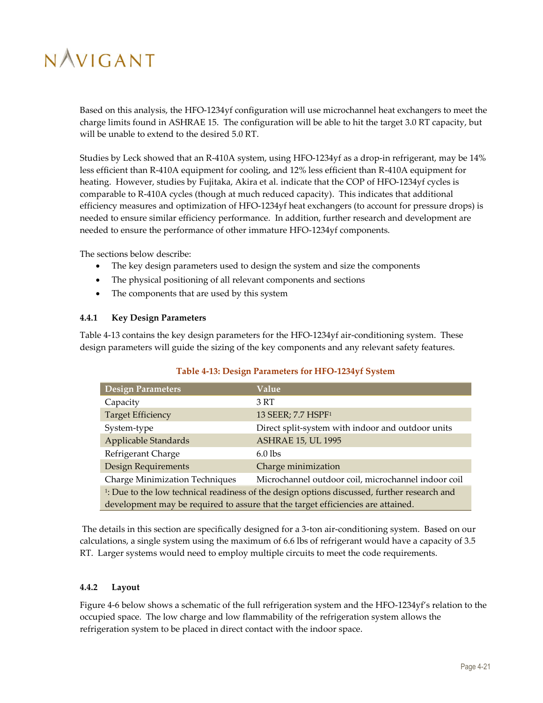Based on this analysis, the HFO-1234yf configuration will use microchannel heat exchangers to meet the charge limits found in ASHRAE 15. The configuration will be able to hit the target 3.0 RT capacity, but will be unable to extend to the desired 5.0 RT.

Studies by Leck showed that an R-410A system, using HFO-1234yf as a drop-in refrigerant, may be 14% less efficient than R-410A equipment for cooling, and 12% less efficient than R-410A equipment for heating. However, studies by Fujitaka, Akira et al. indicate that the COP of HFO-1234yf cycles is comparable to R-410A cycles (though at much reduced capacity). This indicates that additional efficiency measures and optimization of HFO-1234yf heat exchangers (to account for pressure drops) is needed to ensure similar efficiency performance. In addition, further research and development are needed to ensure the performance of other immature HFO-1234yf components.

The sections below describe:

- The key design parameters used to design the system and size the components
- The physical positioning of all relevant components and sections
- The components that are used by this system

#### <span id="page-44-0"></span>**4.4.1 Key Design Parameters**

[Table 4-13](#page-44-2) contains the key design parameters for the HFO-1234yf air-conditioning system. These design parameters will guide the sizing of the key components and any relevant safety features.

<span id="page-44-2"></span>

| <b>Design Parameters</b>                                                                                | Value                                             |  |
|---------------------------------------------------------------------------------------------------------|---------------------------------------------------|--|
| Capacity                                                                                                | 3 RT                                              |  |
| <b>Target Efficiency</b>                                                                                | 13 SEER; 7.7 HSPF <sup>1</sup>                    |  |
| System-type                                                                                             | Direct split-system with indoor and outdoor units |  |
| <b>Applicable Standards</b>                                                                             | <b>ASHRAE 15, UL 1995</b>                         |  |
| Refrigerant Charge                                                                                      | $6.0$ lbs                                         |  |
| Design Requirements<br>Charge minimization                                                              |                                                   |  |
| <b>Charge Minimization Techniques</b><br>Microchannel outdoor coil, microchannel indoor coil            |                                                   |  |
| <sup>1</sup> : Due to the low technical readiness of the design options discussed, further research and |                                                   |  |
| development may be required to assure that the target efficiencies are attained.                        |                                                   |  |

### **Table 4-13: Design Parameters for HFO-1234yf System**

The details in this section are specifically designed for a 3-ton air-conditioning system. Based on our calculations, a single system using the maximum of 6.6 lbs of refrigerant would have a capacity of 3.5 RT. Larger systems would need to employ multiple circuits to meet the code requirements.

### <span id="page-44-1"></span>**4.4.2 Layout**

[Figure 4-6](#page-45-1) below shows a schematic of the full refrigeration system and the HFO-1234yf's relation to the occupied space. The low charge and low flammability of the refrigeration system allows the refrigeration system to be placed in direct contact with the indoor space.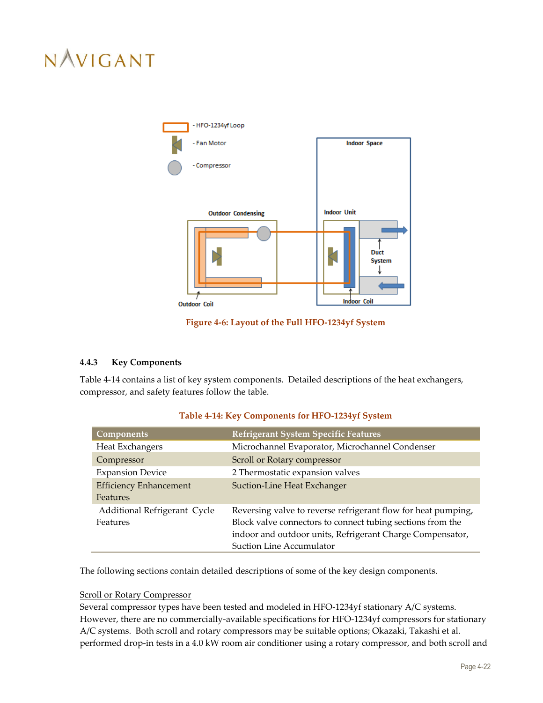

**Figure 4-6: Layout of the Full HFO-1234yf System**

### <span id="page-45-1"></span><span id="page-45-0"></span>**4.4.3 Key Components**

[Table 4-14](#page-45-2) contains a list of key system components. Detailed descriptions of the heat exchangers, compressor, and safety features follow the table.

<span id="page-45-2"></span>

| <b>Components</b>                         | Refrigerant System Specific Features                                                                                                                                                                                        |
|-------------------------------------------|-----------------------------------------------------------------------------------------------------------------------------------------------------------------------------------------------------------------------------|
| Heat Exchangers                           | Microchannel Evaporator, Microchannel Condenser                                                                                                                                                                             |
| Compressor                                | Scroll or Rotary compressor                                                                                                                                                                                                 |
| <b>Expansion Device</b>                   | 2 Thermostatic expansion valves                                                                                                                                                                                             |
| <b>Efficiency Enhancement</b><br>Features | Suction-Line Heat Exchanger                                                                                                                                                                                                 |
| Additional Refrigerant Cycle<br>Features  | Reversing valve to reverse refrigerant flow for heat pumping,<br>Block valve connectors to connect tubing sections from the<br>indoor and outdoor units, Refrigerant Charge Compensator,<br><b>Suction Line Accumulator</b> |

### **Table 4-14: Key Components for HFO-1234yf System**

The following sections contain detailed descriptions of some of the key design components.

### Scroll or Rotary Compressor

Several compressor types have been tested and modeled in HFO-1234yf stationary A/C systems. However, there are no commercially-available specifications for HFO-1234yf compressors for stationary A/C systems. Both scroll and rotary compressors may be suitable options; Okazaki, Takashi et al. performed drop-in tests in a 4.0 kW room air conditioner using a rotary compressor, and both scroll and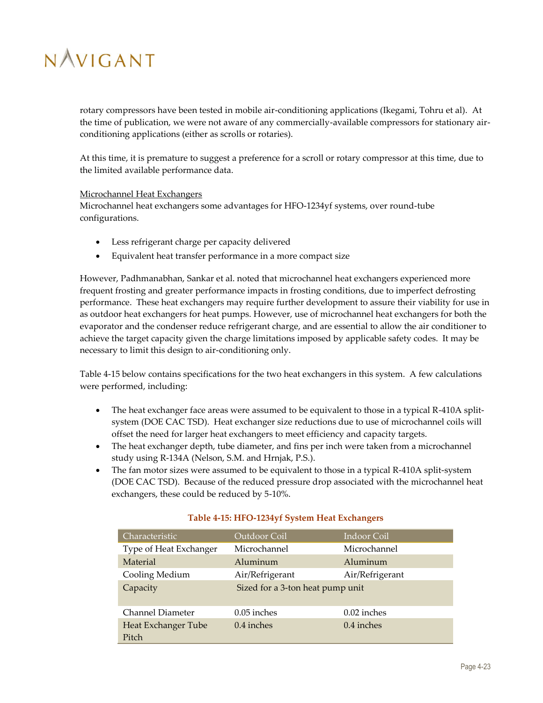rotary compressors have been tested in mobile air-conditioning applications (Ikegami, Tohru et al). At the time of publication, we were not aware of any commercially-available compressors for stationary airconditioning applications (either as scrolls or rotaries).

At this time, it is premature to suggest a preference for a scroll or rotary compressor at this time, due to the limited available performance data.

#### Microchannel Heat Exchangers

Microchannel heat exchangers some advantages for HFO-1234yf systems, over round-tube configurations.

- Less refrigerant charge per capacity delivered
- Equivalent heat transfer performance in a more compact size

However, Padhmanabhan, Sankar et al. noted that microchannel heat exchangers experienced more frequent frosting and greater performance impacts in frosting conditions, due to imperfect defrosting performance. These heat exchangers may require further development to assure their viability for use in as outdoor heat exchangers for heat pumps. However, use of microchannel heat exchangers for both the evaporator and the condenser reduce refrigerant charge, and are essential to allow the air conditioner to achieve the target capacity given the charge limitations imposed by applicable safety codes. It may be necessary to limit this design to air-conditioning only.

[Table 4-15](#page-46-0) below contains specifications for the two heat exchangers in this system. A few calculations were performed, including:

- The heat exchanger face areas were assumed to be equivalent to those in a typical R-410A splitsystem (DOE CAC TSD). Heat exchanger size reductions due to use of microchannel coils will offset the need for larger heat exchangers to meet efficiency and capacity targets.
- The heat exchanger depth, tube diameter, and fins per inch were taken from a microchannel study using R-134A (Nelson, S.M. and Hrnjak, P.S.).
- The fan motor sizes were assumed to be equivalent to those in a typical R-410A split-system (DOE CAC TSD). Because of the reduced pressure drop associated with the microchannel heat exchangers, these could be reduced by 5-10%.

<span id="page-46-0"></span>

| Characteristic               | Outdoor Coil                     | Indoor Coil     |
|------------------------------|----------------------------------|-----------------|
| Type of Heat Exchanger       | Microchannel                     | Microchannel    |
| Material                     | Aluminum                         | Aluminum        |
| Cooling Medium               | Air/Refrigerant                  | Air/Refrigerant |
| Capacity                     | Sized for a 3-ton heat pump unit |                 |
| Channel Diameter             | 0.05 inches                      | $0.02$ inches   |
| Heat Exchanger Tube<br>Pitch | 0.4 inches<br>0.4 inches         |                 |

### **Table 4-15: HFO-1234yf System Heat Exchangers**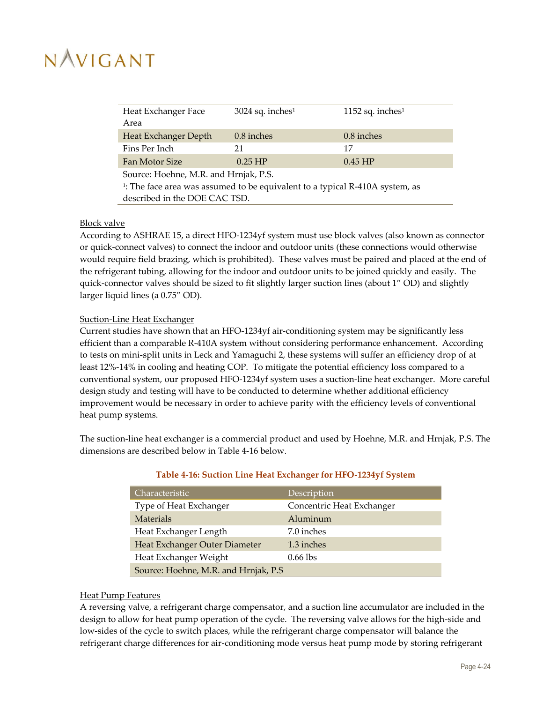| Heat Exchanger Face<br>Area                                                              | $3024$ sq. inches <sup>1</sup> | 1152 sq. inches <sup>1</sup> |  |
|------------------------------------------------------------------------------------------|--------------------------------|------------------------------|--|
| Heat Exchanger Depth                                                                     | 0.8 inches                     | $0.8$ inches                 |  |
| Fins Per Inch                                                                            | 21                             | 17                           |  |
| Fan Motor Size                                                                           | $0.25$ HP                      | $0.45$ HP                    |  |
| Source: Hoehne, M.R. and Hrnjak, P.S.                                                    |                                |                              |  |
| <sup>1</sup> : The face area was assumed to be equivalent to a typical R-410A system, as |                                |                              |  |

#### Block valve

According to ASHRAE 15, a direct HFO-1234yf system must use block valves (also known as connector or quick-connect valves) to connect the indoor and outdoor units (these connections would otherwise would require field brazing, which is prohibited). These valves must be paired and placed at the end of the refrigerant tubing, allowing for the indoor and outdoor units to be joined quickly and easily. The quick-connector valves should be sized to fit slightly larger suction lines (about 1" OD) and slightly larger liquid lines (a 0.75" OD).

### Suction-Line Heat Exchanger

described in the DOE CAC TSD.

Current studies have shown that an HFO-1234yf air-conditioning system may be significantly less efficient than a comparable R-410A system without considering performance enhancement. According to tests on mini-split units in Leck and Yamaguchi 2, these systems will suffer an efficiency drop of at least 12%-14% in cooling and heating COP. To mitigate the potential efficiency loss compared to a conventional system, our proposed HFO-1234yf system uses a suction-line heat exchanger. More careful design study and testing will have to be conducted to determine whether additional efficiency improvement would be necessary in order to achieve parity with the efficiency levels of conventional heat pump systems.

<span id="page-47-0"></span>The suction-line heat exchanger is a commercial product and used by Hoehne, M.R. and Hrnjak, P.S. The dimensions are described below in [Table 4-16](#page-47-0) below.

| Characteristic                        | Description               |  |
|---------------------------------------|---------------------------|--|
| Type of Heat Exchanger                | Concentric Heat Exchanger |  |
| <b>Materials</b>                      | Aluminum                  |  |
| Heat Exchanger Length                 | 7.0 inches                |  |
| Heat Exchanger Outer Diameter         | 1.3 inches                |  |
| Heat Exchanger Weight                 | $0.66$ lbs                |  |
| Source: Hoehne, M.R. and Hrnjak, P.S. |                           |  |

### **Table 4-16: Suction Line Heat Exchanger for HFO-1234yf System**

#### Heat Pump Features

A reversing valve, a refrigerant charge compensator, and a suction line accumulator are included in the design to allow for heat pump operation of the cycle. The reversing valve allows for the high-side and low-sides of the cycle to switch places, while the refrigerant charge compensator will balance the refrigerant charge differences for air-conditioning mode versus heat pump mode by storing refrigerant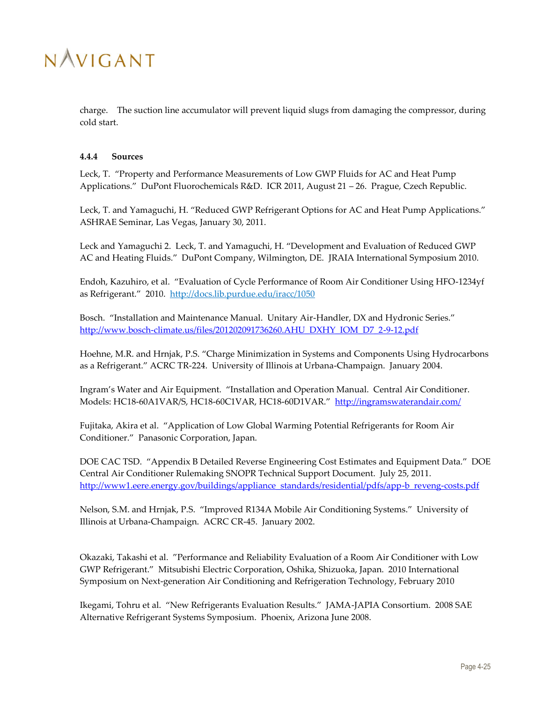

charge. The suction line accumulator will prevent liquid slugs from damaging the compressor, during cold start.

#### <span id="page-48-0"></span>**4.4.4 Sources**

Leck, T. "Property and Performance Measurements of Low GWP Fluids for AC and Heat Pump Applications." DuPont Fluorochemicals R&D. ICR 2011, August 21 – 26. Prague, Czech Republic.

Leck, T. and Yamaguchi, H. "Reduced GWP Refrigerant Options for AC and Heat Pump Applications." ASHRAE Seminar, Las Vegas, January 30, 2011.

Leck and Yamaguchi 2. Leck, T. and Yamaguchi, H. "Development and Evaluation of Reduced GWP AC and Heating Fluids." DuPont Company, Wilmington, DE. JRAIA International Symposium 2010.

Endoh, Kazuhiro, et al. "Evaluation of Cycle Performance of Room Air Conditioner Using HFO-1234yf as Refrigerant." 2010. <http://docs.lib.purdue.edu/iracc/1050>

Bosch. "Installation and Maintenance Manual. Unitary Air-Handler, DX and Hydronic Series." [http://www.bosch-climate.us/files/201202091736260.AHU\\_DXHY\\_IOM\\_D7\\_2-9-12.pdf](http://www.bosch-climate.us/files/201202091736260.AHU_DXHY_IOM_D7_2-9-12.pdf)

Hoehne, M.R. and Hrnjak, P.S. "Charge Minimization in Systems and Components Using Hydrocarbons as a Refrigerant." ACRC TR-224. University of Illinois at Urbana-Champaign. January 2004.

Ingram's Water and Air Equipment. "Installation and Operation Manual. Central Air Conditioner. Models: HC18-60A1VAR/S, HC18-60C1VAR, HC18-60D1VAR." <http://ingramswaterandair.com/>

Fujitaka, Akira et al. "Application of Low Global Warming Potential Refrigerants for Room Air Conditioner." Panasonic Corporation, Japan.

DOE CAC TSD. "Appendix B Detailed Reverse Engineering Cost Estimates and Equipment Data." DOE Central Air Conditioner Rulemaking SNOPR Technical Support Document. July 25, 2011. [http://www1.eere.energy.gov/buildings/appliance\\_standards/residential/pdfs/app-b\\_reveng-costs.pdf](http://www1.eere.energy.gov/buildings/appliance_standards/residential/pdfs/app-b_reveng-costs.pdf)

Nelson, S.M. and Hrnjak, P.S. "Improved R134A Mobile Air Conditioning Systems." University of Illinois at Urbana-Champaign. ACRC CR-45. January 2002.

Okazaki, Takashi et al. "Performance and Reliability Evaluation of a Room Air Conditioner with Low GWP Refrigerant." Mitsubishi Electric Corporation, Oshika, Shizuoka, Japan. 2010 International Symposium on Next-generation Air Conditioning and Refrigeration Technology, February 2010

Ikegami, Tohru et al. "New Refrigerants Evaluation Results." JAMA-JAPIA Consortium. 2008 SAE Alternative Refrigerant Systems Symposium. Phoenix, Arizona June 2008.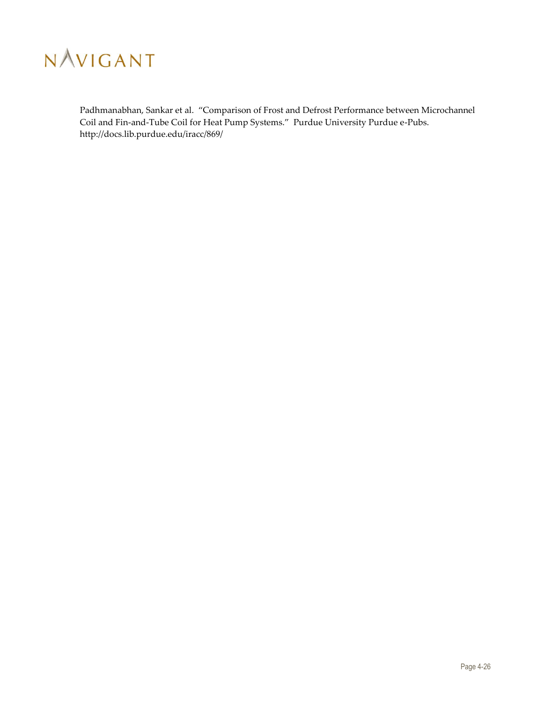

Padhmanabhan, Sankar et al. "Comparison of Frost and Defrost Performance between Microchannel Coil and Fin-and-Tube Coil for Heat Pump Systems." Purdue University Purdue e-Pubs. http://docs.lib.purdue.edu/iracc/869/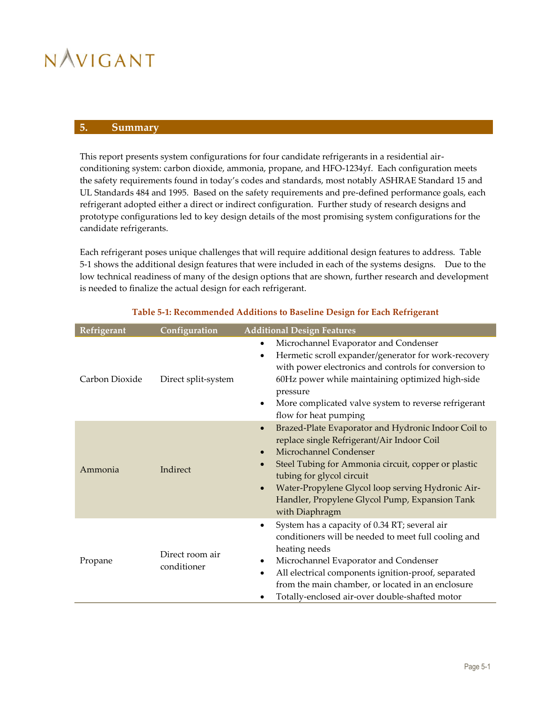### <span id="page-50-0"></span>**5. Summary**

This report presents system configurations for four candidate refrigerants in a residential airconditioning system: carbon dioxide, ammonia, propane, and HFO-1234yf. Each configuration meets the safety requirements found in today's codes and standards, most notably ASHRAE Standard 15 and UL Standards 484 and 1995. Based on the safety requirements and pre-defined performance goals, each refrigerant adopted either a direct or indirect configuration. Further study of research designs and prototype configurations led to key design details of the most promising system configurations for the candidate refrigerants.

Each refrigerant poses unique challenges that will require additional design features to address. [Table](#page-50-1)  [5-1](#page-50-1) shows the additional design features that were included in each of the systems designs. Due to the low technical readiness of many of the design options that are shown, further research and development is needed to finalize the actual design for each refrigerant.

<span id="page-50-1"></span>

| Refrigerant    | Configuration                  | <b>Additional Design Features</b>                                                                                                                                                                                                                                                                                                                                                            |  |  |
|----------------|--------------------------------|----------------------------------------------------------------------------------------------------------------------------------------------------------------------------------------------------------------------------------------------------------------------------------------------------------------------------------------------------------------------------------------------|--|--|
| Carbon Dioxide | Direct split-system            | Microchannel Evaporator and Condenser<br>٠<br>Hermetic scroll expander/generator for work-recovery<br>$\bullet$<br>with power electronics and controls for conversion to<br>60Hz power while maintaining optimized high-side<br>pressure<br>More complicated valve system to reverse refrigerant<br>$\bullet$<br>flow for heat pumping                                                       |  |  |
| Ammonia        | Indirect                       | Brazed-Plate Evaporator and Hydronic Indoor Coil to<br>$\bullet$<br>replace single Refrigerant/Air Indoor Coil<br>Microchannel Condenser<br>$\bullet$<br>Steel Tubing for Ammonia circuit, copper or plastic<br>$\bullet$<br>tubing for glycol circuit<br>Water-Propylene Glycol loop serving Hydronic Air-<br>$\bullet$<br>Handler, Propylene Glycol Pump, Expansion Tank<br>with Diaphragm |  |  |
| Propane        | Direct room air<br>conditioner | System has a capacity of 0.34 RT; several air<br>$\bullet$<br>conditioners will be needed to meet full cooling and<br>heating needs<br>Microchannel Evaporator and Condenser<br>٠<br>All electrical components ignition-proof, separated<br>$\bullet$<br>from the main chamber, or located in an enclosure<br>Totally-enclosed air-over double-shafted motor                                 |  |  |

### **Table 5-1: Recommended Additions to Baseline Design for Each Refrigerant**